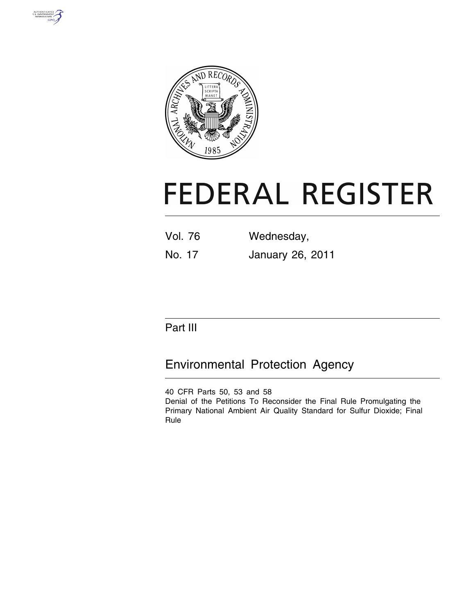



# **FEDERAL REGISTER**

| <b>Vol. 76</b> | Wednesday,       |
|----------------|------------------|
| No. 17         | January 26, 2011 |

# Part III

# Environmental Protection Agency

40 CFR Parts 50, 53 and 58 Denial of the Petitions To Reconsider the Final Rule Promulgating the Primary National Ambient Air Quality Standard for Sulfur Dioxide; Final Rule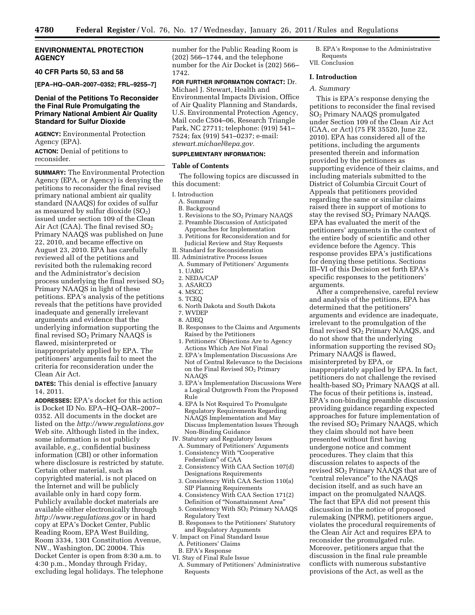# **ENVIRONMENTAL PROTECTION AGENCY**

# **40 CFR Parts 50, 53 and 58**

**[EPA–HQ–OAR–2007–0352; FRL–9255–7]** 

# **Denial of the Petitions To Reconsider the Final Rule Promulgating the Primary National Ambient Air Quality Standard for Sulfur Dioxide**

**AGENCY:** Environmental Protection Agency (EPA).

**ACTION:** Denial of petitions to reconsider.

**SUMMARY:** The Environmental Protection Agency (EPA, or Agency) is denying the petitions to reconsider the final revised primary national ambient air quality standard (NAAQS) for oxides of sulfur as measured by sulfur dioxide  $(SO<sub>2</sub>)$ issued under section 109 of the Clean Air Act (CAA). The final revised  $SO<sub>2</sub>$ Primary NAAQS was published on June 22, 2010, and became effective on August 23, 2010. EPA has carefully reviewed all of the petitions and revisited both the rulemaking record and the Administrator's decision process underlying the final revised  $SO<sub>2</sub>$ Primary NAAQS in light of these petitions. EPA's analysis of the petitions reveals that the petitions have provided inadequate and generally irrelevant arguments and evidence that the underlying information supporting the final revised  $SO<sub>2</sub>$  Primary NAAQS is flawed, misinterpreted or inappropriately applied by EPA. The petitioners' arguments fail to meet the criteria for reconsideration under the Clean Air Act.

**DATES:** This denial is effective January 14, 2011.

**ADDRESSES:** EPA's docket for this action is Docket ID No. EPA–HQ–OAR–2007– 0352. All documents in the docket are listed on the *<http://www.regulations.gov>*  Web site. Although listed in the index, some information is not publicly available, *e.g.,* confidential business information (CBI) or other information where disclosure is restricted by statute. Certain other material, such as copyrighted material, is not placed on the Internet and will be publicly available only in hard copy form. Publicly available docket materials are available either electronically through *<http://www.regulations.gov>* or in hard copy at EPA's Docket Center, Public Reading Room, EPA West Building, Room 3334, 1301 Constitution Avenue, NW., Washington, DC 20004. This Docket Center is open from 8:30 a.m. to 4:30 p.m., Monday through Friday, excluding legal holidays. The telephone

number for the Public Reading Room is (202) 566–1744, and the telephone number for the Air Docket is (202) 566– 1742.

**FOR FURTHER INFORMATION CONTACT:** Dr. Michael J. Stewart, Health and Environmental Impacts Division, Office of Air Quality Planning and Standards, U.S. Environmental Protection Agency, Mail code C504–06, Research Triangle Park, NC 27711; telephone: (919) 541– 7524; fax (919) 541–0237; e-mail: *[stewart.michael@epa.gov.](mailto:stewart.michael@epa.gov)* 

# **SUPPLEMENTARY INFORMATION:**

#### **Table of Contents**

The following topics are discussed in this document:

- I. Introduction
	- A. Summary
	- B. Background
	- 1. Revisions to the SO<sub>2</sub> Primary NAAQS 2. Preamble Discussion of Anticipated
	- Approaches for Implementation 3. Petitions for Reconsideration and for
- Judicial Review and Stay Requests II. Standard for Reconsideration
- III. Administrative Process Issues
- A. Summary of Petitioners' Arguments 1. UARG
- 2. NEDA/CAP
- 3. ASARCO
- 4. MSCC
- 5. TCEQ
- 6. North Dakota and South Dakota
- 7. WVDEP 8. ADEQ
- B. Responses to the Claims and Arguments Raised by the Petitioners
- 1. Petitioners' Objections Are to Agency Actions Which Are Not Final
- 2. EPA's Implementation Discussions Are Not of Central Relevance to the Decisions on the Final Revised SO2 Primary NAAQS
- 3. EPA's Implementation Discussions Were a Logical Outgrowth From the Proposed Rule
- 4. EPA Is Not Required To Promulgate Regulatory Requirements Regarding NAAQS Implementation and May Discuss Implementation Issues Through Non-Binding Guidance
- IV. Statutory and Regulatory Issues A. Summary of Petitioners' Arguments
	- 1. Consistency With ''Cooperative Federalism'' of CAA
	- 2. Consistency With CAA Section 107(d) Designations Requirements
	- 3. Consistency With CAA Section 110(a) SIP Planning Requirements
	- 4. Consistency With CAA Section 171(2) Definition of ''Nonattainment Area''
- 5. Consistency With SO2 Primary NAAQS Regulatory Text
- B. Responses to the Petitioners' Statutory and Regulatory Arguments
- V. Impact on Final Standard Issue A. Petitioners' Claims
	- B. EPA's Response
- VI. Stay of Final Rule Issue
	- A. Summary of Petitioners' Administrative Requests

B. EPA's Response to the Administrative Requests VII. Conclusion

## **I. Introduction**

# *A. Summary*

This is EPA's response denying the petitions to reconsider the final revised SO2 Primary NAAQS promulgated under Section 109 of the Clean Air Act (CAA, or Act) (75 FR 35520, June 22, 2010). EPA has considered all of the petitions, including the arguments presented therein and information provided by the petitioners as supporting evidence of their claims, and including materials submitted to the District of Columbia Circuit Court of Appeals that petitioners provided regarding the same or similar claims raised there in support of motions to stay the revised  $SO<sub>2</sub>$  Primary NAAQS. EPA has evaluated the merit of the petitioners' arguments in the context of the entire body of scientific and other evidence before the Agency. This response provides EPA's justifications for denying these petitions. Sections III–VI of this Decision set forth EPA's specific responses to the petitioners' arguments.

After a comprehensive, careful review and analysis of the petitions, EPA has determined that the petitioners' arguments and evidence are inadequate, irrelevant to the promulgation of the final revised SO2 Primary NAAQS, and do not show that the underlying information supporting the revised  $SO<sub>2</sub>$ Primary NAAQS is flawed, misinterpreted by EPA, or inappropriately applied by EPA. In fact, petitioners do not challenge the revised health-based SO<sub>2</sub> Primary NAAQS at all. The focus of their petitions is, instead, EPA's non-binding preamble discussion providing guidance regarding expected approaches for future implementation of the revised  $SO<sub>2</sub>$  Primary NAAQS, which they claim should not have been presented without first having undergone notice and comment procedures. They claim that this discussion relates to aspects of the revised SO2 Primary NAAQS that are of "central relevance" to the NAAQS decision itself, and as such have an impact on the promulgated NAAQS. The fact that EPA did not present this discussion in the notice of proposed rulemaking (NPRM), petitioners argue, violates the procedural requirements of the Clean Air Act and requires EPA to reconsider the promulgated rule. Moreover, petitioners argue that the discussion in the final rule preamble conflicts with numerous substantive provisions of the Act, as well as the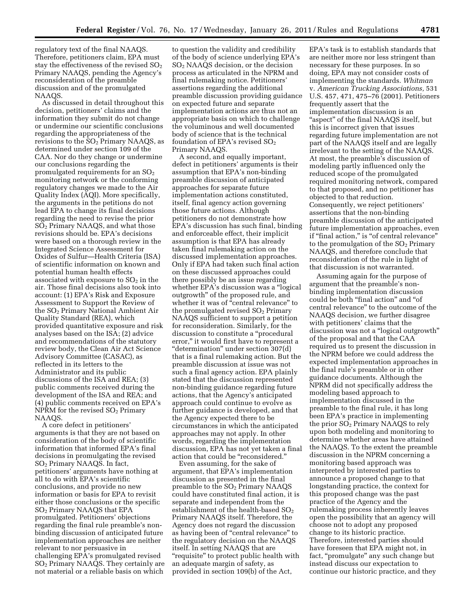regulatory text of the final NAAQS. Therefore, petitioners claim, EPA must stay the effectiveness of the revised  $SO<sub>2</sub>$ Primary NAAQS, pending the Agency's reconsideration of the preamble discussion and of the promulgated NAAQS.

As discussed in detail throughout this decision, petitioners' claims and the information they submit do not change or undermine our scientific conclusions regarding the appropriateness of the revisions to the SO2 Primary NAAQS, as determined under section 109 of the CAA. Nor do they change or undermine our conclusions regarding the promulgated requirements for an  $SO<sub>2</sub>$ monitoring network or the conforming regulatory changes we made to the Air Quality Index (AQI). More specifically, the arguments in the petitions do not lead EPA to change its final decisions regarding the need to revise the prior SO2 Primary NAAQS, and what those revisions should be. EPA's decisions were based on a thorough review in the Integrated Science Assessment for Oxides of Sulfur—Health Criteria (ISA) of scientific information on known and potential human health effects associated with exposure to  $SO<sub>2</sub>$  in the air. Those final decisions also took into account: (1) EPA's Risk and Exposure Assessment to Support the Review of the SO2 Primary National Ambient Air Quality Standard (REA), which provided quantitative exposure and risk analyses based on the ISA; (2) advice and recommendations of the statutory review body, the Clean Air Act Science Advisory Committee (CASAC), as reflected in its letters to the Administrator and its public discussions of the ISA and REA; (3) public comments received during the development of the ISA and REA; and (4) public comments received on EPA's NPRM for the revised SO<sub>2</sub> Primary NAAQS.

A core defect in petitioners' arguments is that they are not based on consideration of the body of scientific information that informed EPA's final decisions in promulgating the revised SO2 Primary NAAQS. In fact, petitioners' arguments have nothing at all to do with EPA's scientific conclusions, and provide no new information or basis for EPA to revisit either those conclusions or the specific SO2 Primary NAAQS that EPA promulgated. Petitioners' objections regarding the final rule preamble's nonbinding discussion of anticipated future implementation approaches are neither relevant to nor persuasive in challenging EPA's promulgated revised SO2 Primary NAAQS. They certainly are not material or a reliable basis on which

to question the validity and credibility of the body of science underlying EPA's SO2 NAAQS decision, or the decision process as articulated in the NPRM and final rulemaking notice. Petitioners' assertions regarding the additional preamble discussion providing guidance on expected future and separate implementation actions are thus not an appropriate basis on which to challenge the voluminous and well documented body of science that is the technical foundation of EPA's revised  $SO<sub>2</sub>$ Primary NAAQS.

A second, and equally important, defect in petitioners' arguments is their assumption that EPA's non-binding preamble discussion of anticipated approaches for separate future implementation actions constituted, itself, final agency action governing those future actions. Although petitioners do not demonstrate how EPA's discussion has such final, binding and enforceable effect, their implicit assumption is that EPA has already taken final rulemaking action on the discussed implementation approaches. Only if EPA had taken such final action on these discussed approaches could there possibly be an issue regarding whether EPA's discussion was a "logical" outgrowth'' of the proposed rule, and whether it was of "central relevance" to the promulgated revised  $SO<sub>2</sub>$  Primary NAAQS sufficient to support a petition for reconsideration. Similarly, for the discussion to constitute a ''procedural error,'' it would first have to represent a ''determination'' under section 307(d) that is a final rulemaking action. But the preamble discussion at issue was not such a final agency action. EPA plainly stated that the discussion represented non-binding guidance regarding future actions, that the Agency's anticipated approach could continue to evolve as further guidance is developed, and that the Agency expected there to be circumstances in which the anticipated approaches may not apply. In other words, regarding the implementation discussion, EPA has not yet taken a final action that could be ''reconsidered.''

Even assuming, for the sake of argument, that EPA's implementation discussion as presented in the final preamble to the SO2 Primary NAAQS could have constituted final action, it is separate and independent from the establishment of the health-based  $SO<sub>2</sub>$ Primary NAAQS itself. Therefore, the Agency does not regard the discussion as having been of "central relevance" to the regulatory decision on the NAAQS itself. In setting NAAQS that are "requisite" to protect public health with an adequate margin of safety, as provided in section 109(b) of the Act,

EPA's task is to establish standards that are neither more nor less stringent than necessary for these purposes. In so doing, EPA may not consider costs of implementing the standards. *Whitman*  v. *American Trucking Associations,* 531 U.S. 457, 471, 475–76 (2001). Petitioners frequently assert that the implementation discussion is an "aspect" of the final NAAQS itself, but this is incorrect given that issues regarding future implementation are not part of the NAAQS itself and are legally irrelevant to the setting of the NAAQS. At most, the preamble's discussion of modeling partly influenced only the reduced scope of the promulgated required monitoring network, compared to that proposed, and no petitioner has objected to that reduction. Consequently, we reject petitioners' assertions that the non-binding preamble discussion of the anticipated future implementation approaches, even if "final action," is "of central relevance" to the promulgation of the  $SO<sub>2</sub>$  Primary NAAQS, and therefore conclude that reconsideration of the rule in light of that discussion is not warranted.

Assuming again for the purpose of argument that the preamble's nonbinding implementation discussion could be both "final action" and "of central relevance'' to the outcome of the NAAQS decision, we further disagree with petitioners' claims that the discussion was not a ''logical outgrowth'' of the proposal and that the CAA required us to present the discussion in the NPRM before we could address the expected implementation approaches in the final rule's preamble or in other guidance documents. Although the NPRM did not specifically address the modeling based approach to implementation discussed in the preamble to the final rule, it has long been EPA's practice in implementing the prior  $SO<sub>2</sub>$  Primary NAAQS to rely upon both modeling and monitoring to determine whether areas have attained the NAAQS. To the extent the preamble discussion in the NPRM concerning a monitoring based approach was interpreted by interested parties to announce a proposed change to that longstanding practice, the context for this proposed change was the past practice of the Agency and the rulemaking process inherently leaves open the possibility that an agency will choose not to adopt any proposed change to its historic practice. Therefore, interested parties should have foreseen that EPA might not, in fact, "promulgate" any such change but instead discuss our expectation to continue our historic practice, and they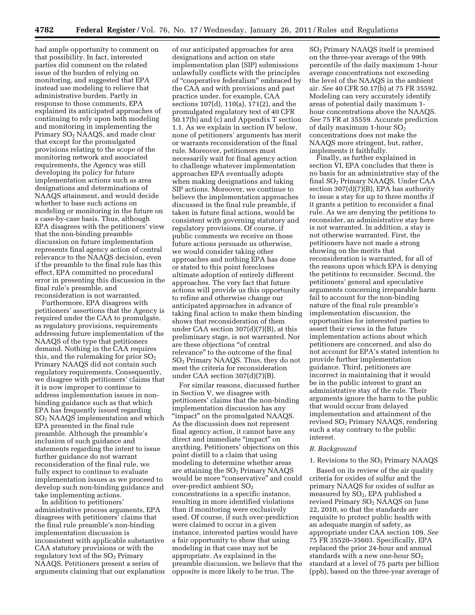had ample opportunity to comment on that possibility. In fact, interested parties did comment on the related issue of the burden of relying on monitoring, and suggested that EPA instead use modeling to relieve that administrative burden. Partly in response to those comments, EPA explained its anticipated approaches of continuing to rely upon both modeling and monitoring in implementing the Primary SO<sub>2</sub> NAAQS, and made clear that except for the promulgated provisions relating to the scope of the monitoring network and associated requirements, the Agency was still developing its policy for future implementation actions such as area designations and determinations of NAAQS attainment, and would decide whether to base such actions on modeling or monitoring in the future on a case-by-case basis. Thus, although EPA disagrees with the petitioners' view that the non-binding preamble discussion on future implementation represents final agency action of central relevance to the NAAQS decision, even if the preamble to the final rule has this effect, EPA committed no procedural error in presenting this discussion in the final rule's preamble, and reconsideration is not warranted.

Furthermore, EPA disagrees with petitioners' assertions that the Agency is required under the CAA to promulgate, as regulatory provisions, requirements addressing future implementation of the NAAQS of the type that petitioners demand. Nothing in the CAA requires this, and the rulemaking for prior  $SO<sub>2</sub>$ Primary NAAQS did not contain such regulatory requirements. Consequently, we disagree with petitioners' claims that it is now improper to continue to address implementation issues in nonbinding guidance such as that which EPA has frequently issued regarding SO2 NAAQS implementation and which EPA presented in the final rule preamble. Although the preamble's inclusion of such guidance and statements regarding the intent to issue further guidance do not warrant reconsideration of the final rule, we fully expect to continue to evaluate implementation issues as we proceed to develop such non-binding guidance and take implementing actions.

In addition to petitioners' administrative process arguments, EPA disagrees with petitioners' claims that the final rule preamble's non-binding implementation discussion is inconsistent with applicable substantive CAA statutory provisions or with the regulatory text of the  $SO<sub>2</sub>$  Primary NAAQS. Petitioners present a series of arguments claiming that our explanation

of our anticipated approaches for area designations and action on state implementation plan (SIP) submissions unlawfully conflicts with the principles of ''cooperative federalism'' embraced by the CAA and with provisions and past practice under, for example, CAA sections 107(d), 110(a), 171(2), and the promulgated regulatory text of 40 CFR 50.17(b) and (c) and Appendix T section 1.1. As we explain in section IV below, none of petitioners' arguments has merit or warrants reconsideration of the final rule. Moreover, petitioners must necessarily wait for final agency action to challenge whatever implementation approaches EPA eventually adopts when making designations and taking SIP actions. Moreover, we continue to believe the implementation approaches discussed in the final rule preamble, if taken in future final actions, would be consistent with governing statutory and regulatory provisions. Of course, if public comments we receive on those future actions persuade us otherwise, we would consider taking other approaches and nothing EPA has done or stated to this point forecloses ultimate adoption of entirely different approaches. The very fact that future actions will provide us this opportunity to refine and otherwise change our anticipated approaches in advance of taking final action to make them binding shows that reconsideration of them under CAA section 307(d)(7)(B), at this preliminary stage, is not warranted. Nor are these objections ''of central relevance'' to the outcome of the final SO2 Primary NAAQS. Thus, they do not meet the criteria for reconsideration under CAA section 307(d)(7)(B).

For similar reasons, discussed further in Section V, we disagree with petitioners' claims that the non-binding implementation discussion has any ''impact'' on the promulgated NAAQS. As the discussion does not represent final agency action, it cannot have any direct and immediate ''impact'' on anything. Petitioners' objections on this point distill to a claim that using modeling to determine whether areas are attaining the  $SO<sub>2</sub>$  Primary NAAQS would be more "conservative" and could over-predict ambient SO<sub>2</sub> concentrations in a specific instance, resulting in more identified violations than if monitoring were exclusively used. Of course, if such over-prediction were claimed to occur in a given instance, interested parties would have a fair opportunity to show that using modeling in that case may not be appropriate. As explained in the preamble discussion, we believe that the opposite is more likely to be true. The

SO2 Primary NAAQS itself is premised on the three-year average of the 99th percentile of the daily maximum 1-hour average concentrations not exceeding the level of the NAAQS in the ambient air. *See* 40 CFR 50.17(b) at 75 FR 35592. Modeling can very accurately identify areas of potential daily maximum 1 hour concentrations above the NAAQS. *See* 75 FR at 35559. Accurate prediction of daily maximum 1-hour SO<sub>2</sub> concentrations does not make the NAAQS more stringent, but, rather, implements it faithfully.

Finally, as further explained in section VI, EPA concludes that there is no basis for an administrative stay of the final SO2 Primary NAAQS. Under CAA section  $307(d)(7)(B)$ , EPA has authority to issue a stay for up to three months if it grants a petition to reconsider a final rule. As we are denying the petitions to reconsider, an administrative stay here is not warranted. In addition, a stay is not otherwise warranted. First, the petitioners have not made a strong showing on the merits that reconsideration is warranted, for all of the reasons upon which EPA is denying the petitions to reconsider. Second, the petitioners' general and speculative arguments concerning irreparable harm fail to account for the non-binding nature of the final rule preamble's implementation discussion, the opportunities for interested parties to assert their views in the future implementation actions about which petitioners are concerned, and also do not account for EPA's stated intention to provide further implementation guidance. Third, petitioners are incorrect in maintaining that it would be in the public interest to grant an administrative stay of the rule. Their arguments ignore the harm to the public that would occur from delayed implementation and attainment of the revised SO2 Primary NAAQS, rendering such a stay contrary to the public interest.

#### *B. Background*

## 1. Revisions to the  $SO<sub>2</sub>$  Primary NAAQS

Based on its review of the air quality criteria for oxides of sulfur and the primary NAAQS for oxides of sulfur as measured by  $SO<sub>2</sub>$ , EPA published a revised Primary SO2 NAAQS on June 22, 2010, so that the standards are requisite to protect public health with an adequate margin of safety, as appropriate under CAA section 109. *See*  75 FR 35520–35603. Specifically, EPA replaced the prior 24-hour and annual standards with a new one-hour  $SO_2$ standard at a level of 75 parts per billion (ppb), based on the three-year average of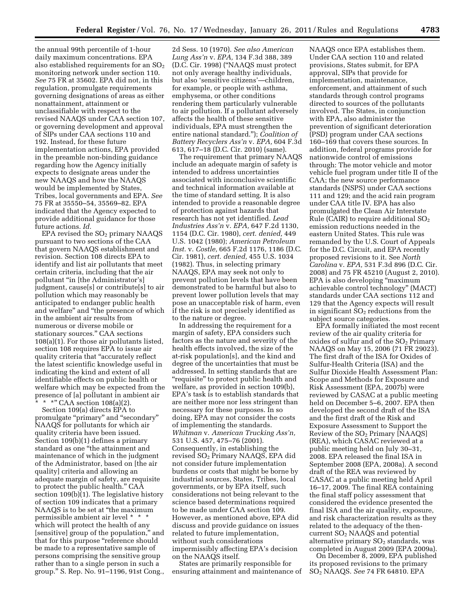the annual 99th percentile of 1-hour daily maximum concentrations. EPA also established requirements for an  $SO<sub>2</sub>$ monitoring network under section 110. *See* 75 FR at 35602. EPA did not, in this regulation, promulgate requirements governing designations of areas as either nonattainment, attainment or unclassifiable with respect to the revised NAAQS under CAA section 107, or governing development and approval of SIPs under CAA sections 110 and 192. Instead, for these future implementation actions, EPA provided in the preamble non-binding guidance regarding how the Agency initially expects to designate areas under the new NAAQS and how the NAAQS would be implemented by States, Tribes, local governments and EPA. *See*  75 FR at 35550–54, 35569–82. EPA indicated that the Agency expected to provide additional guidance for those future actions. *Id.* 

EPA revised the SO<sub>2</sub> primary NAAQS pursuant to two sections of the CAA that govern NAAQS establishment and revision. Section 108 directs EPA to identify and list air pollutants that meet certain criteria, including that the air pollutant ''in [the Administrator's] judgment, cause[s] or contribute[s] to air pollution which may reasonably be anticipated to endanger public health and welfare'' and ''the presence of which in the ambient air results from numerous or diverse mobile or stationary sources.'' CAA sections 108(a)(1). For those air pollutants listed, section 108 requires EPA to issue air quality criteria that ''accurately reflect the latest scientific knowledge useful in indicating the kind and extent of all identifiable effects on public health or welfare which may be expected from the presence of [a] pollutant in ambient air

\* \*" CAA section  $108(a)(2)$ .

Section 109(a) directs EPA to promulgate ''primary'' and ''secondary'' NAAQS for pollutants for which air quality criteria have been issued. Section 109(b)(1) defines a primary standard as one ''the attainment and maintenance of which in the judgment of the Administrator, based on [the air quality] criteria and allowing an adequate margin of safety, are requisite to protect the public health.'' CAA section  $109(b)$ <sup>[1]</sup>. The legislative history of section 109 indicates that a primary NAAQS is to be set at ''the maximum permissible ambient air level \* \* \* which will protect the health of any [sensitive] group of the population," and that for this purpose ''reference should be made to a representative sample of persons comprising the sensitive group rather than to a single person in such a group.'' S. Rep. No. 91–1196, 91st Cong.,

2d Sess. 10 (1970). *See also American Lung Ass'n* v. *EPA,* 134 F.3d 388, 389 (D.C. Cir. 1998) (''NAAQS must protect not only average healthy individuals, but also 'sensitive citizens'—children, for example, or people with asthma, emphysema, or other conditions rendering them particularly vulnerable to air pollution. If a pollutant adversely affects the health of these sensitive individuals, EPA must strengthen the entire national standard.''); *Coalition of Battery Recyclers Ass'n* v. *EPA,* 604 F.3d 613, 617–18 (D.C. Cir. 2010) (same).

The requirement that primary NAAQS include an adequate margin of safety is intended to address uncertainties associated with inconclusive scientific and technical information available at the time of standard setting. It is also intended to provide a reasonable degree of protection against hazards that research has not yet identified. *Lead Industries Ass'n* v. *EPA,* 647 F.2d 1130, 1154 (D.C. Cir. 1980), *cert. denied,* 449 U.S. 1042 (1980); *American Petroleum Inst.* v. *Costle,* 665 F.2d 1176, 1186 (D.C. Cir. 1981), *cert. denied,* 455 U.S. 1034 (1982). Thus, in selecting primary NAAQS, EPA may seek not only to prevent pollution levels that have been demonstrated to be harmful but also to prevent lower pollution levels that may pose an unacceptable risk of harm, even if the risk is not precisely identified as to the nature or degree.

In addressing the requirement for a margin of safety, EPA considers such factors as the nature and severity of the health effects involved, the size of the at-risk population[s], and the kind and degree of the uncertainties that must be addressed. In setting standards that are "requisite" to protect public health and welfare, as provided in section 109(b), EPA's task is to establish standards that are neither more nor less stringent than necessary for these purposes. In so doing, EPA may not consider the costs of implementing the standards. *Whitman* v. *American Trucking Ass'n,*  531 U.S. 457, 475–76 (2001). Consequently, in establishing the revised SO2 Primary NAAQS, EPA did not consider future implementation burdens or costs that might be borne by industrial sources, States, Tribes, local governments, or by EPA itself, such considerations not being relevant to the science based determinations required to be made under CAA section 109. However, as mentioned above, EPA did discuss and provide guidance on issues related to future implementation, without such considerations impermissibly affecting EPA's decision on the NAAQS itself.

States are primarily responsible for ensuring attainment and maintenance of

NAAQS once EPA establishes them. Under CAA section 110 and related provisions, States submit, for EPA approval, SIPs that provide for implementation, maintenance, enforcement, and attainment of such standards through control programs directed to sources of the pollutants involved. The States, in conjunction with EPA, also administer the prevention of significant deterioration (PSD) program under CAA sections 160–169 that covers these sources. In addition, federal programs provide for nationwide control of emissions through: The motor vehicle and motor vehicle fuel program under title II of the CAA; the new source performance standards (NSPS) under CAA sections 111 and 129; and the acid rain program under CAA title IV. EPA has also promulgated the Clean Air Interstate Rule (CAIR) to require additional  $SO_2$ emission reductions needed in the eastern United States. This rule was remanded by the U.S. Court of Appeals for the D.C. Circuit, and EPA recently proposed revisions to it. See *North Carolina* v. *EPA,* 531 F.3d 896 (D.C. Cir. 2008) and 75 FR 45210 (August 2, 2010). EPA is also developing ''maximum achievable control technology'' (MACT) standards under CAA sections 112 and 129 that the Agency expects will result in significant  $SO<sub>2</sub>$  reductions from the subject source categories.

EPA formally initiated the most recent review of the air quality criteria for oxides of sulfur and of the  $SO<sub>2</sub>$  Primary NAAQS on May 15, 2006 (71 FR 29023). The first draft of the ISA for Oxides of Sulfur-Health Criteria (ISA) and the Sulfur Dioxide Health Assessment Plan: Scope and Methods for Exposure and Risk Assessment (EPA, 2007b) were reviewed by CASAC at a public meeting held on December 5–6, 2007. EPA then developed the second draft of the ISA and the first draft of the Risk and Exposure Assessment to Support the Review of the  $SO<sub>2</sub>$  Primary [NAAQS] (REA), which CASAC reviewed at a public meeting held on July 30–31, 2008. EPA released the final ISA in September 2008 (EPA, 2008a). A second draft of the REA was reviewed by CASAC at a public meeting held April 16–17, 2009. The final REA containing the final staff policy assessment that considered the evidence presented the final ISA and the air quality, exposure, and risk characterization results as they related to the adequacy of the thencurrent SO2 NAAQS and potential alternative primary  $SO<sub>2</sub>$  standards, was completed in August 2009 (EPA 2009a).

On December 8, 2009, EPA published its proposed revisions to the primary SO2 NAAQS. *See* 74 FR 64810. EPA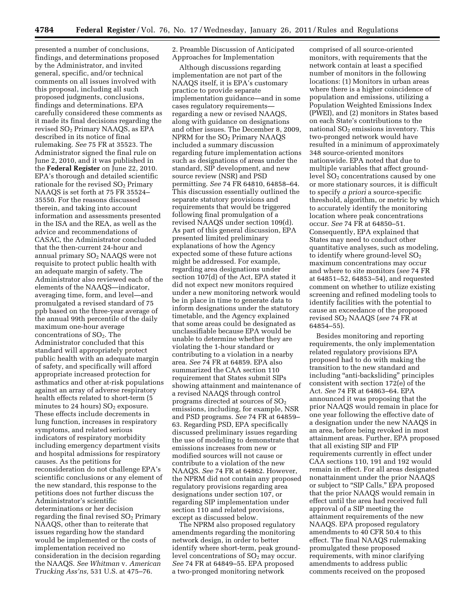presented a number of conclusions, findings, and determinations proposed by the Administrator, and invited general, specific, and/or technical comments on all issues involved with this proposal, including all such proposed judgments, conclusions, findings and determinations. EPA carefully considered these comments as it made its final decisions regarding the revised SO2 Primary NAAQS, as EPA described in its notice of final rulemaking. *See* 75 FR at 35523. The Administrator signed the final rule on June 2, 2010, and it was published in the **Federal Register** on June 22, 2010. EPA's thorough and detailed scientific rationale for the revised  $SO<sub>2</sub>$  Primary NAAQS is set forth at 75 FR 35524– 35550. For the reasons discussed therein, and taking into account information and assessments presented in the ISA and the REA, as well as the advice and recommendations of CASAC, the Administrator concluded that the then-current 24-hour and annual primary SO<sub>2</sub> NAAQS were not requisite to protect public health with an adequate margin of safety. The Administrator also reviewed each of the elements of the NAAQS—indicator, averaging time, form, and level—and promulgated a revised standard of 75 ppb based on the three-year average of the annual 99th percentile of the daily maximum one-hour average concentrations of  $SO<sub>2</sub>$ . The Administrator concluded that this standard will appropriately protect public health with an adequate margin of safety, and specifically will afford appropriate increased protection for asthmatics and other at-risk populations against an array of adverse respiratory health effects related to short-term (5 minutes to 24 hours)  $SO<sub>2</sub>$  exposure. These effects include decrements in lung function, increases in respiratory symptoms, and related serious indicators of respiratory morbidity including emergency department visits and hospital admissions for respiratory causes. As the petitions for reconsideration do not challenge EPA's scientific conclusions or any element of the new standard, this response to the petitions does not further discuss the Administrator's scientific determinations or her decision regarding the final revised  $SO<sub>2</sub>$  Primary NAAQS, other than to reiterate that issues regarding how the standard would be implemented or the costs of implementation received no consideration in the decision regarding the NAAQS. *See Whitman* v. *American Trucking Ass'ns,* 531 U.S. at 475–76.

2. Preamble Discussion of Anticipated Approaches for Implementation

Although discussions regarding implementation are not part of the NAAQS itself, it is EPA's customary practice to provide separate implementation guidance—and in some cases regulatory requirements regarding a new or revised NAAQS, along with guidance on designations and other issues. The December 8, 2009, NPRM for the  $SO<sub>2</sub>$  Primary NAAQS included a summary discussion regarding future implementation actions such as designations of areas under the standard, SIP development, and new source review (NSR) and PSD permitting. *See* 74 FR 64810, 64858–64. This discussion essentially outlined the separate statutory provisions and requirements that would be triggered following final promulgation of a revised NAAQS under section 109(d). As part of this general discussion, EPA presented limited preliminary explanations of how the Agency expected some of these future actions might be addressed. For example, regarding area designations under section 107(d) of the Act, EPA stated it did not expect new monitors required under a new monitoring network would be in place in time to generate data to inform designations under the statutory timetable, and the Agency explained that some areas could be designated as unclassifiable because EPA would be unable to determine whether they are violating the 1-hour standard or contributing to a violation in a nearby area. *See* 74 FR at 64859. EPA also summarized the CAA section 110 requirement that States submit SIPs showing attainment and maintenance of a revised NAAQS through control programs directed at sources of  $SO<sub>2</sub>$ emissions, including, for example, NSR and PSD programs. *See* 74 FR at 64859– 63. Regarding PSD, EPA specifically discussed preliminary issues regarding the use of modeling to demonstrate that emissions increases from new or modified sources will not cause or contribute to a violation of the new NAAQS. *See* 74 FR at 64862. However, the NPRM did not contain any proposed regulatory provisions regarding area designations under section 107, or regarding SIP implementation under section 110 and related provisions, except as discussed below.

The NPRM also proposed regulatory amendments regarding the monitoring network design, in order to better identify where short-term, peak groundlevel concentrations of  $SO<sub>2</sub>$  may occur. *See* 74 FR at 64849–55. EPA proposed a two-pronged monitoring network

comprised of all source-oriented monitors, with requirements that the network contain at least a specified number of monitors in the following locations: (1) Monitors in urban areas where there is a higher coincidence of population and emissions, utilizing a Population Weighted Emissions Index (PWEI), and (2) monitors in States based on each State's contributions to the national SO<sub>2</sub> emissions inventory. This two-pronged network would have resulted in a minimum of approximately 348 source-oriented monitors nationwide. EPA noted that due to multiple variables that affect groundlevel  $SO<sub>2</sub>$  concentrations caused by one or more stationary sources, it is difficult to specify *a priori* a source-specific threshold, algorithm, or metric by which to accurately identify the monitoring location where peak concentrations occur. *See* 74 FR at 64850–51. Consequently, EPA explained that States may need to conduct other quantitative analyses, such as modeling, to identify where ground-level  $SO<sub>2</sub>$ maximum concentrations may occur and where to site monitors (*see* 74 FR at 64851–52, 64853–54), and requested comment on whether to utilize existing screening and refined modeling tools to identify facilities with the potential to cause an exceedance of the proposed revised SO2 NAAQS (*see* 74 FR at 64854–55).

Besides monitoring and reporting requirements, the only implementation related regulatory provisions EPA proposed had to do with making the transition to the new standard and including "anti-backsliding" principles consistent with section 172(e) of the Act. *See* 74 FR at 64863–64. EPA announced it was proposing that the prior NAAQS would remain in place for one year following the effective date of a designation under the new NAAQS in an area, before being revoked in most attainment areas. Further, EPA proposed that all existing SIP and FIP requirements currently in effect under CAA sections 110, 191 and 192 would remain in effect. For all areas designated nonattainment under the prior NAAQS or subject to "SIP Calls," EPA proposed that the prior NAAQS would remain in effect until the area had received full approval of a SIP meeting the attainment requirements of the new NAAQS. EPA proposed regulatory amendments to 40 CFR 50.4 to this effect. The final NAAQS rulemaking promulgated these proposed requirements, with minor clarifying amendments to address public comments received on the proposed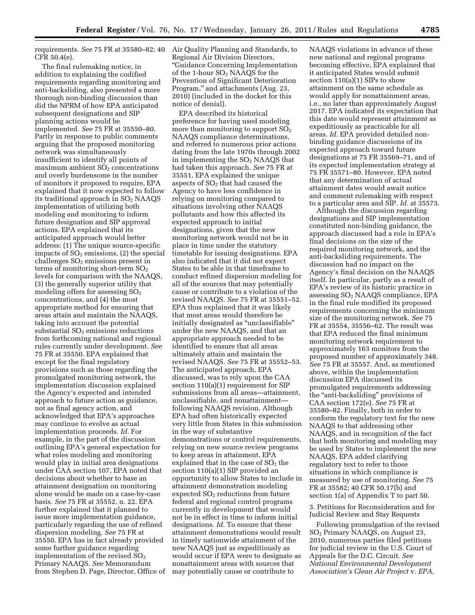requirements. *See* 75 FR at 35580–82; 40 Air Quality Planning and Standards, to CFR 50.4(e).

The final rulemaking notice, in addition to explaining the codified requirements regarding monitoring and anti-backsliding, also presented a more thorough non-binding discussion than did the NPRM of how EPA anticipated subsequent designations and SIP planning actions would be implemented. *See* 75 FR at 35550–80. Partly in response to public comments arguing that the proposed monitoring network was simultaneously insufficient to identify all points of maximum ambient  $SO<sub>2</sub>$  concentrations and overly burdensome in the number of monitors it proposed to require, EPA explained that it now expected to follow its traditional approach in  $SO<sub>2</sub>$  NAAQS implementation of utilizing both modeling and monitoring to inform future designation and SIP approval actions. EPA explained that its anticipated approach would better address: (1) The unique source-specific impacts of  $SO<sub>2</sub>$  emissions, (2) the special challenges  $SO<sub>2</sub>$  emissions present in terms of monitoring short-term  $SO<sub>2</sub>$ levels for comparison with the NAAQS, (3) the generally superior utility that modeling offers for assessing  $SO<sub>2</sub>$ concentrations, and (4) the most appropriate method for ensuring that areas attain and maintain the NAAQS, taking into account the potential substantial  $SO<sub>2</sub>$  emissions reductions from forthcoming national and regional rules currently under development. *See*  75 FR at 35550. EPA explained that except for the final regulatory provisions such as those regarding the promulgated monitoring network, the implementation discussion explained the Agency's expected and intended approach to future action as guidance, not as final agency action, and acknowledged that EPA's approaches may continue to evolve as actual implementation proceeds. *Id.* For example, in the part of the discussion outlining EPA's general expectation for what roles modeling and monitoring would play in initial area designations under CAA section 107, EPA noted that decisions about whether to base an attainment designation on monitoring alone would be made on a case-by-case basis. *See* 75 FR at 35552, n. 22. EPA further explained that it planned to issue more implementation guidance, particularly regarding the use of refined dispersion modeling. *See* 75 FR at 35550. EPA has in fact already provided some further guidance regarding implementation of the revised  $SO<sub>2</sub>$ Primary NAAQS. *See* Memorandum from Stephen D. Page, Director, Office of

Regional Air Division Directors, ''Guidance Concerning Implementation of the 1-hour SO2 NAAQS for the Prevention of Significant Deterioration Program,'' and attachments (Aug. 23, 2010) (included in the docket for this notice of denial).

EPA described its historical preference for having used modeling more than monitoring to support  $SO<sub>2</sub>$ NAAQS compliance determinations, and referred to numerous prior actions dating from the late 1970s through 2002 in implementing the  $SO<sub>2</sub>$  NAAQS that had taken this approach. *See* 75 FR at 35551. EPA explained the unique aspects of  $SO<sub>2</sub>$  that had caused the Agency to have less confidence in relying on monitoring compared to situations involving other NAAQS pollutants and how this affected its expected approach to initial designations, given that the new monitoring network would not be in place in time under the statutory timetable for issuing designations. EPA also indicated that it did not expect States to be able in that timeframe to conduct refined dispersion modeling for all of the sources that may potentially cause or contribute to a violation of the revised NAAQS. *See* 75 FR at 35551–52. EPA thus explained that it was likely that most areas would therefore be initially designated as ''unclassifiable'' under the new NAAQS, and that an appropriate approach needed to be identified to ensure that all areas ultimately attain and maintain the revised NAAQS. *See* 75 FR at 35552–53. The anticipated approach, EPA discussed, was to rely upon the CAA section 110(a)(1) requirement for SIP submissions from all areas—attainment, unclassifiable, and nonattainment following NAAQS revision. Although EPA had often historically expected very little from States in this submission in the way of substantive demonstrations or control requirements, relying on new source review programs to keep areas in attainment, EPA explained that in the case of  $SO<sub>2</sub>$  the section 110(a)(1) SIP provided an opportunity to allow States to include in attainment demonstration modeling expected  $SO<sub>2</sub>$  reductions from future federal and regional control programs currently in development that would not be in effect in time to inform initial designations. *Id.* To ensure that these attainment demonstrations would result in timely nationwide attainment of the new NAAQS just as expeditiously as would occur if EPA were to designate as nonattainment areas with sources that may potentially cause or contribute to

NAAQS violations in advance of these new national and regional programs becoming effective, EPA explained that it anticipated States would submit section 110(a)(1) SIPs to show attainment on the same schedule as would apply for nonattainment areas, i.e., no later than approximately August 2017. EPA indicated its expectation that this date would represent attainment as expeditiously as practicable for all areas. *Id.* EPA provided detailed nonbinding guidance discussions of its expected approach toward future designations at 75 FR 35569–71, and of its expected implementation strategy at 75 FR 35571–80. However, EPA noted that any determination of actual attainment dates would await notice and comment rulemaking with respect to a particular area and SIP. *Id.* at 35573.

Although the discussion regarding designations and SIP implementation constituted non-binding guidance, the approach discussed had a role in EPA's final decisions on the size of the required monitoring network, and the anti-backsliding requirements. The discussion had no impact on the Agency's final decision on the NAAQS itself. In particular, partly as a result of EPA's review of its historic practice in assessing SO2 NAAQS compliance, EPA in the final rule modified its proposed requirements concerning the minimum size of the monitoring network. *See* 75 FR at 35554, 35556–62. The result was that EPA reduced the final minimum monitoring network requirement to approximately 163 monitors from the proposed number of approximately 348. *See* 75 FR at 35557. And, as mentioned above, within the implementation discussion EPA discussed its promulgated requirements addressing the ''anti-backsliding'' provisions of CAA section 172(e). *See* 75 FR at 35580–82. Finally, both in order to conform the regulatory text for the new NAAQS to that addressing other NAAQS, and in recognition of the fact that both monitoring and modeling may be used by States to implement the new NAAQS, EPA added clarifying regulatory text to refer to those situations in which compliance is measured by use of monitoring. *See* 75 FR at 35582; 40 CFR 50.17(b) and section 1(a) of Appendix T to part 50.

3. Petitions for Reconsideration and for Judicial Review and Stay Requests

Following promulgation of the revised SO2 Primary NAAQS, on August 23, 2010, numerous parties filed petitions for judicial review in the U.S. Court of Appeals for the D.C. Circuit. *See National Environmental Development Association's Clean Air Project* v. *EPA,*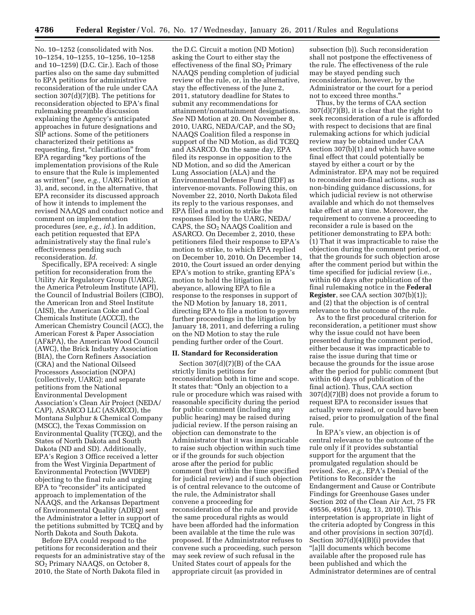No. 10–1252 (consolidated with Nos. 10–1254, 10–1255, 10–1256, 10–1258 and 10–1259) (D.C. Cir.). Each of those parties also on the same day submitted to EPA petitions for administrative reconsideration of the rule under CAA section  $307(d)(7)(B)$ . The petitions for reconsideration objected to EPA's final rulemaking preamble discussion explaining the Agency's anticipated approaches in future designations and SIP actions. Some of the petitioners characterized their petitions as requesting, first, "clarification" from EPA regarding ''key portions of the implementation provisions of the Rule to ensure that the Rule is implemented as written'' (*see, e.g.,* UARG Petition at 3), and, second, in the alternative, that EPA reconsider its discussed approach of how it intends to implement the revised NAAQS and conduct notice and comment on implementation procedures (*see, e.g., id.*). In addition, each petition requested that EPA administratively stay the final rule's effectiveness pending such reconsideration. *Id.* 

Specifically, EPA received: A single petition for reconsideration from the Utility Air Regulatory Group (UARG), the America Petroleum Institute (API), the Council of Industrial Boilers (CIBO), the American Iron and Steel Institute (AISI), the American Coke and Coal Chemicals Institute (ACCCI), the American Chemistry Council (ACC), the American Forest & Paper Association (AF&PA), the American Wood Council (AWC), the Brick Industry Association (BIA), the Corn Refiners Association (CRA) and the National Oilseed Processors Association (NOPA) (collectively, UARG); and separate petitions from the National Environmental Development Association's Clean Air Project (NEDA/ CAP), ASARCO LLC (ASARCO), the Montana Sulphur & Chemical Company (MSCC), the Texas Commission on Environmental Quality (TCEQ), and the States of North Dakota and South Dakota (ND and SD). Additionally, EPA's Region 3 Office received a letter from the West Virginia Department of Environmental Protection (WVDEP) objecting to the final rule and urging EPA to "reconsider" its anticipated approach to implementation of the NAAQS, and the Arkansas Department of Environmental Quality (ADEQ) sent the Administrator a letter in support of the petitions submitted by TCEQ and by North Dakota and South Dakota.

Before EPA could respond to the petitions for reconsideration and their requests for an administrative stay of the SO2 Primary NAAQS, on October 8, 2010, the State of North Dakota filed in

the D.C. Circuit a motion (ND Motion) asking the Court to either stay the effectiveness of the final  $SO<sub>2</sub>$  Primary NAAQS pending completion of judicial review of the rule, or, in the alternative, stay the effectiveness of the June 2, 2011, statutory deadline for States to submit any recommendations for attainment/nonattainment designations. *See* ND Motion at 20. On November 8, 2010, UARG, NEDA/CAP, and the SO2 NAAQS Coalition filed a response in support of the ND Motion, as did TCEQ and ASARCO. On the same day, EPA filed its response in opposition to the ND Motion, and so did the American Lung Association (ALA) and the Environmental Defense Fund (EDF) as intervenor-movants. Following this, on November 22, 2010, North Dakota filed its reply to the various responses, and EPA filed a motion to strike the responses filed by the UARG, NEDA/ CAPS, the SO<sub>2</sub> NAAQS Coalition and ASARCO. On December 2, 2010, these petitioners filed their response to EPA's motion to strike, to which EPA replied on December 10, 2010. On December 14, 2010, the Court issued an order denying EPA's motion to strike, granting EPA's motion to hold the litigation in abeyance, allowing EPA to file a response to the responses in support of the ND Motion by January 18, 2011, directing EPA to file a motion to govern further proceedings in the litigation by January 18, 2011, and deferring a ruling on the ND Motion to stay the rule pending further order of the Court.

#### **II. Standard for Reconsideration**

Section 307(d)(7)(B) of the CAA strictly limits petitions for reconsideration both in time and scope. It states that: ''Only an objection to a rule or procedure which was raised with reasonable specificity during the period for public comment (including any public hearing) may be raised during judicial review. If the person raising an objection can demonstrate to the Administrator that it was impracticable to raise such objection within such time or if the grounds for such objection arose after the period for public comment (but within the time specified for judicial review) and if such objection is of central relevance to the outcome of the rule, the Administrator shall convene a proceeding for reconsideration of the rule and provide the same procedural rights as would have been afforded had the information been available at the time the rule was proposed. If the Administrator refuses to convene such a proceeding, such person may seek review of such refusal in the United States court of appeals for the appropriate circuit (as provided in

subsection (b)). Such reconsideration shall not postpone the effectiveness of the rule. The effectiveness of the rule may be stayed pending such reconsideration, however, by the Administrator or the court for a period not to exceed three months.''

Thus, by the terms of CAA section  $307(d)(7)(B)$ , it is clear that the right to seek reconsideration of a rule is afforded with respect to decisions that are final rulemaking actions for which judicial review may be obtained under CAA section 307(b)(1) and which have some final effect that could potentially be stayed by either a court or by the Administrator. EPA may not be required to reconsider non-final actions, such as non-binding guidance discussions, for which judicial review is not otherwise available and which do not themselves take effect at any time. Moreover, the requirement to convene a proceeding to reconsider a rule is based on the petitioner demonstrating to EPA both: (1) That it was impracticable to raise the objection during the comment period, or that the grounds for such objection arose after the comment period but within the time specified for judicial review (i.e., within 60 days after publication of the final rulemaking notice in the **Federal Register**, see CAA section 307(b)(1)); and (2) that the objection is of central relevance to the outcome of the rule.

As to the first procedural criterion for reconsideration, a petitioner must show why the issue could not have been presented during the comment period, either because it was impracticable to raise the issue during that time or because the grounds for the issue arose after the period for public comment (but within 60 days of publication of the final action). Thus, CAA section 307(d)(7)(B) does not provide a forum to request EPA to reconsider issues that actually were raised, or could have been raised, prior to promulgation of the final rule.

In EPA's view, an objection is of central relevance to the outcome of the rule only if it provides substantial support for the argument that the promulgated regulation should be revised. *See, e.g.,* EPA's Denial of the Petitions to Reconsider the Endangerment and Cause or Contribute Findings for Greenhouse Gases under Section 202 of the Clean Air Act, 75 FR 49556, 49561 (Aug. 13, 2010). This interpretation is appropriate in light of the criteria adopted by Congress in this and other provisions in section 307(d). Section  $307(d)(4)(B)(i)$  provides that ''[a]ll documents which become available after the proposed rule has been published and which the Administrator determines are of central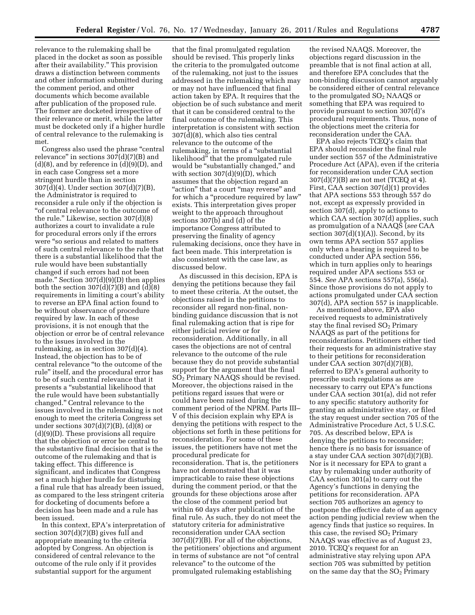relevance to the rulemaking shall be placed in the docket as soon as possible after their availability.'' This provision draws a distinction between comments and other information submitted during the comment period, and other documents which become available after publication of the proposed rule. The former are docketed irrespective of their relevance or merit, while the latter must be docketed only if a higher hurdle of central relevance to the rulemaking is met.

Congress also used the phrase "central relevance" in sections  $307(d)(7)(B)$  and  $(d)(8)$ , and by reference in  $(d)(9)(D)$ , and in each case Congress set a more stringent hurdle than in section 307(d)(4). Under section 307(d)(7)(B), the Administrator is required to reconsider a rule only if the objection is ''of central relevance to the outcome of the rule.'' Likewise, section 307(d)(8) authorizes a court to invalidate a rule for procedural errors only if the errors were ''so serious and related to matters of such central relevance to the rule that there is a substantial likelihood that the rule would have been substantially changed if such errors had not been made.'' Section 307(d)(9)(D) then applies both the section  $307(d)(7)(B)$  and  $(d)(8)$ requirements in limiting a court's ability to reverse an EPA final action found to be without observance of procedure required by law. In each of these provisions, it is not enough that the objection or error be of central relevance to the issues involved in the rulemaking, as in section 307(d)(4). Instead, the objection has to be of central relevance ''to the outcome of the rule'' itself, and the procedural error has to be of such central relevance that it presents a ''substantial likelihood that the rule would have been substantially changed.'' Central relevance to the issues involved in the rulemaking is not enough to meet the criteria Congress set under sections  $307(d)(7)(B)$ ,  $(d)(8)$  or (d)(9)(D). These provisions all require that the objection or error be central to the substantive final decision that is the outcome of the rulemaking and that is taking effect. This difference is significant, and indicates that Congress set a much higher hurdle for disturbing a final rule that has already been issued, as compared to the less stringent criteria for docketing of documents before a decision has been made and a rule has been issued.

In this context, EPA's interpretation of section 307(d)(7)(B) gives full and appropriate meaning to the criteria adopted by Congress. An objection is considered of central relevance to the outcome of the rule only if it provides substantial support for the argument

that the final promulgated regulation should be revised. This properly links the criteria to the promulgated outcome of the rulemaking, not just to the issues addressed in the rulemaking which may or may not have influenced that final action taken by EPA. It requires that the objection be of such substance and merit that it can be considered central to the final outcome of the rulemaking. This interpretation is consistent with section 307(d)(8), which also ties central relevance to the outcome of the rulemaking, in terms of a "substantial" likelihood'' that the promulgated rule would be "substantially changed," and with section  $307(d)(9)(D)$ , which assumes that the objection regard an "action" that a court "may reverse" and for which a ''procedure required by law'' exists. This interpretation gives proper weight to the approach throughout sections 307(b) and (d) of the importance Congress attributed to preserving the finality of agency rulemaking decisions, once they have in fact been made. This interpretation is also consistent with the case law, as discussed below.

As discussed in this decision, EPA is denying the petitions because they fail to meet these criteria. At the outset, the objections raised in the petitions to reconsider all regard non-final, nonbinding guidance discussion that is not final rulemaking action that is ripe for either judicial review or for reconsideration. Additionally, in all cases the objections are not of central relevance to the outcome of the rule because they do not provide substantial support for the argument that the final SO2 Primary NAAQS should be revised. Moreover, the objections raised in the petitions regard issues that were or could have been raised during the comment period of the NPRM. Parts III– V of this decision explain why EPA is denying the petitions with respect to the objections set forth in these petitions for reconsideration. For some of these issues, the petitioners have not met the procedural predicate for reconsideration. That is, the petitioners have not demonstrated that it was impracticable to raise these objections during the comment period, or that the grounds for these objections arose after the close of the comment period but within 60 days after publication of the final rule. As such, they do not meet the statutory criteria for administrative reconsideration under CAA section 307(d)(7)(B). For all of the objections, the petitioners' objections and argument in terms of substance are not ''of central relevance'' to the outcome of the promulgated rulemaking establishing

the revised NAAQS. Moreover, the objections regard discussion in the preamble that is not final action at all, and therefore EPA concludes that the non-binding discussion cannot arguably be considered either of central relevance to the promulgated  $SO<sub>2</sub>$  NAAQS or something that EPA was required to provide pursuant to section 307(d)'s procedural requirements. Thus, none of the objections meet the criteria for reconsideration under the CAA.

EPA also rejects TCEQ's claim that EPA should reconsider the final rule under section 557 of the Administrative Procedure Act (APA), even if the criteria for reconsideration under CAA section 307(d)(7)(B) are not met (TCEQ at 4). First, CAA section 307(d)(1) provides that APA sections 553 through 557 do not, except as expressly provided in section 307(d), apply to actions to which CAA section 307(d) applies, such as promulgation of a NAAQS (*see* CAA section  $307(d)(1)(A)$ ). Second, by its own terms APA section 557 applies only when a hearing is required to be conducted under APA section 556, which in turn applies only to hearings required under APA sections 553 or 554. *See* APA sections 557(a), 556(a). Since those provisions do not apply to actions promulgated under CAA section 307(d), APA section 557 is inapplicable.

As mentioned above, EPA also received requests to administratively stay the final revised  $SO<sub>2</sub>$  Primary NAAQS as part of the petitions for reconsiderations. Petitioners either tied their requests for an administrative stay to their petitions for reconsideration under CAA section 307(d)(7)(B), referred to EPA's general authority to prescribe such regulations as are necessary to carry out EPA's functions under CAA section 301(a), did not refer to any specific statutory authority for granting an administrative stay, or filed the stay request under section 705 of the Administrative Procedure Act, 5 U.S.C. 705. As described below, EPA is denying the petitions to reconsider; hence there is no basis for issuance of a stay under CAA section 307(d)(7)(B). Nor is it necessary for EPA to grant a stay by rulemaking under authority of CAA section 301(a) to carry out the Agency's functions in denying the petitions for reconsideration. APA section 705 authorizes an agency to postpone the effective date of an agency action pending judicial review when the agency finds that justice so requires. In this case, the revised  $SO<sub>2</sub>$  Primary NAAQS was effective as of August 23, 2010. TCEQ's request for an administrative stay relying upon APA section 705 was submitted by petition on the same day that the  $SO<sub>2</sub>$  Primary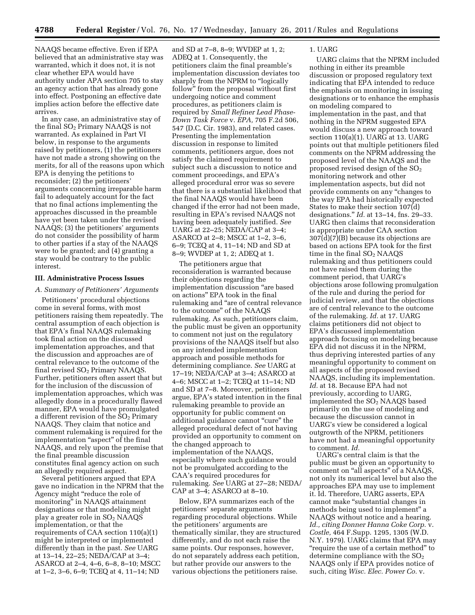NAAQS became effective. Even if EPA believed that an administrative stay was warranted, which it does not, it is not clear whether EPA would have authority under APA section 705 to stay an agency action that has already gone into effect. Postponing an effective date implies action before the effective date arrives.

In any case, an administrative stay of the final  $SO<sub>2</sub>$  Primary NAAQS is not warranted. As explained in Part VI below, in response to the arguments raised by petitioners, (1) the petitioners have not made a strong showing on the merits, for all of the reasons upon which EPA is denying the petitions to reconsider; (2) the petitioners' arguments concerning irreparable harm fail to adequately account for the fact that no final actions implementing the approaches discussed in the preamble have yet been taken under the revised NAAQS; (3) the petitioners' arguments do not consider the possibility of harm to other parties if a stay of the NAAQS were to be granted; and (4) granting a stay would be contrary to the public interest.

#### **III. Administrative Process Issues**

#### *A. Summary of Petitioners' Arguments*

Petitioners' procedural objections come in several forms, with most petitioners raising them repeatedly. The central assumption of each objection is that EPA's final NAAQS rulemaking took final action on the discussed implementation approaches, and that the discussion and approaches are of central relevance to the outcome of the final revised  $SO<sub>2</sub>$  Primary NAAQS. Further, petitioners often assert that but for the inclusion of the discussion of implementation approaches, which was allegedly done in a procedurally flawed manner, EPA would have promulgated a different revision of the  $SO<sub>2</sub>$  Primary NAAQS. They claim that notice and comment rulemaking is required for the implementation "aspect" of the final NAAQS, and rely upon the premise that the final preamble discussion constitutes final agency action on such an allegedly required aspect.

Several petitioners argued that EPA gave no indication in the NPRM that the Agency might ''reduce the role of monitoring'' in NAAQS attainment designations or that modeling might play a greater role in SO2 NAAQS implementation, or that the requirements of CAA section 110(a)(1) might be interpreted or implemented differently than in the past. *See* UARG at 13–14, 22–25; NEDA/CAP at 3–4; ASARCO at 2–4, 4–6, 6–8, 8–10; MSCC at 1–2, 3–6, 6–9; TCEQ at 4, 11–14; ND

and SD at 7–8, 8–9; WVDEP at 1, 2; ADEQ at 1. Consequently, the petitioners claim the final preamble's implementation discussion deviates too sharply from the NPRM to "logically follow'' from the proposal without first undergoing notice and comment procedures, as petitioners claim is required by *Small Refiner Lead Phase-Down Task Force* v. *EPA,* 705 F.2d 506, 547 (D.C. Cir. 1983), and related cases. Presenting the implementation discussion in response to limited comments, petitioners argue, does not satisfy the claimed requirement to subject such a discussion to notice and comment proceedings, and EPA's alleged procedural error was so severe that there is a substantial likelihood that the final NAAQS would have been changed if the error had not been made, resulting in EPA's revised NAAQS not having been adequately justified. *See*  UARG at 22–25; NEDA/CAP at 3–4; ASARCO at 2–8; MSCC at 1–2, 3–6, 6–9; TCEQ at 4, 11–14; ND and SD at 8–9; WVDEP at 1, 2; ADEQ at 1.

The petitioners argue that reconsideration is warranted because their objections regarding the implementation discussion ''are based on actions'' EPA took in the final rulemaking and ''are of central relevance to the outcome'' of the NAAQS rulemaking. As such, petitioners claim, the public must be given an opportunity to comment not just on the regulatory provisions of the NAAQS itself but also on any intended implementation approach and possible methods for determining compliance. *See* UARG at 17–19; NEDA/CAP at 3–4; ASARCO at 4–6; MSCC at 1–2; TCEQ at 11–14; ND and SD at 7–8. Moreover, petitioners argue, EPA's stated intention in the final rulemaking preamble to provide an opportunity for public comment on additional guidance cannot ''cure'' the alleged procedural defect of not having provided an opportunity to comment on the changed approach to implementation of the NAAQS, especially where such guidance would not be promulgated according to the CAA's required procedures for rulemaking. *See* UARG at 27–28; NEDA/ CAP at 3–4; ASARCO at 8–10.

Below, EPA summarizes each of the petitioners' separate arguments regarding procedural objections. While the petitioners' arguments are thematically similar, they are structured differently, and do not each raise the same points. Our responses, however, do not separately address each petition, but rather provide our answers to the various objections the petitioners raise.

#### 1. UARG

UARG claims that the NPRM included nothing in either its preamble discussion or proposed regulatory text indicating that EPA intended to reduce the emphasis on monitoring in issuing designations or to enhance the emphasis on modeling compared to implementation in the past, and that nothing in the NPRM suggested EPA would discuss a new approach toward section 110(a)(1). UARG at 13. UARG points out that multiple petitioners filed comments on the NPRM addressing the proposed level of the NAAQS and the proposed revised design of the  $SO<sub>2</sub>$ monitoring network and other implementation aspects, but did not provide comments on any ''changes to the way EPA had historically expected States to make their section 107(d) designations.'' *Id.* at 13–14, fns. 29–33. UARG then claims that reconsideration is appropriate under CAA section  $307\text{d}$  $(7)$  $(B)$  because its objections are based on actions EPA took for the first time in the final  $SO<sub>2</sub>$  NAAQS rulemaking and thus petitioners could not have raised them during the comment period, that UARG's objections arose following promulgation of the rule and during the period for judicial review, and that the objections are of central relevance to the outcome of the rulemaking. *Id.* at 17. UARG claims petitioners did not object to EPA's discussed implementation approach focusing on modeling because EPA did not discuss it in the NPRM, thus depriving interested parties of any meaningful opportunity to comment on all aspects of the proposed revised NAAQS, including its implementation. *Id.* at 18. Because EPA had not previously, according to UARG, implemented the SO<sub>2</sub> NAAQS based primarily on the use of modeling and because the discussion cannot in UARG's view be considered a logical outgrowth of the NPRM, petitioners have not had a meaningful opportunity to comment. *Id.* 

UARG's central claim is that the public must be given an opportunity to comment on ''all aspects'' of a NAAQS, not only its numerical level but also the approaches EPA may use to implement it. Id. Therefore, UARG asserts, EPA cannot make ''substantial changes in methods being used to implement'' a NAAQS without notice and a hearing. *Id., citing Donner Hanna Coke Corp.* v. *Costle,* 464 F.Supp. 1295, 1305 (W.D. N.Y. 1979). UARG claims that EPA may ''require the use of a certain method'' to determine compliance with the  $SO<sub>2</sub>$ NAAQS only if EPA provides notice of such, citing *Wisc. Elec. Power Co.* v.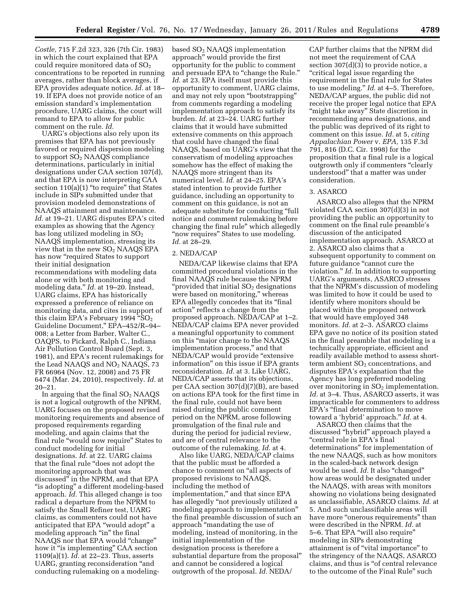*Costle,* 715 F.2d 323, 326 (7th Cir. 1983) in which the court explained that EPA could require monitored data of  $SO<sub>2</sub>$ concentrations to be reported in running averages, rather than block averages, if EPA provides adequate notice. *Id.* at 18– 19. If EPA does not provide notice of an emission standard's implementation procedure, UARG claims, the court will remand to EPA to allow for public comment on the rule. *Id.* 

UARG's objections also rely upon its premises that EPA has not previously favored or required dispersion modeling to support  $SO<sub>2</sub>$  NAAQS compliance determinations, particularly in initial designations under CAA section 107(d), and that EPA is now interpreting CAA section 110(a)(1) "to require" that States include in SIPs submitted under that provision modeled demonstrations of NAAQS attainment and maintenance. *Id.* at 19–21. UARG disputes EPA's cited examples as showing that the Agency has long utilized modeling in  $SO<sub>2</sub>$ NAAQS implementation, stressing its view that in the new  $SO_2$  NAAQS EPA has now "required States to support their initial designation recommendations with modeling data alone or with both monitoring and modeling data.'' *Id.* at 19–20. Instead, UARG claims, EPA has historically expressed a preference of reliance on monitoring data, and cites in support of this claim EPA's February 1994 " $SO<sub>2</sub>$ Guideline Document,'' EPA–452/R–94– 008; a Letter from Barber, Walter C., OAQPS, to Pickard, Ralph C., Indiana Air Pollution Control Board (Sept. 3, 1981), and EPA's recent rulemakings for the Lead NAAQS and  $NO<sub>2</sub>$  NAAQS, 73 FR 66964 (Nov. 12, 2008) and 75 FR 6474 (Mar. 24, 2010), respectively. *Id.* at  $20 - 21$ .

In arguing that the final  $SO<sub>2</sub>$  NAAQS is not a logical outgrowth of the NPRM, UARG focuses on the proposed revised monitoring requirements and absence of proposed requirements regarding modeling, and again claims that the final rule ''would now require'' States to conduct modeling for initial designations. *Id.* at 22. UARG claims that the final rule ''does not adopt the monitoring approach that was discussed'' in the NPRM, and that EPA "is adopting" a different modeling-based approach. *Id.* This alleged change is too radical a departure from the NPRM to satisfy the Small Refiner test, UARG claims, as commenters could not have anticipated that EPA "would adopt" a modeling approach "in" the final NAAQS nor that EPA would ''change'' how it "is implementing" CAA section 1109(a)(1). *Id.* at 22–23. Thus, asserts UARG, granting reconsideration ''and conducting rulemaking on a modelingbased SO2 NAAQS implementation approach'' would provide the first opportunity for the public to comment and persuade EPA to "change the Rule." *Id.* at 23. EPA itself must provide this opportunity to comment, UARG claims, and may not rely upon ''bootstrapping'' from comments regarding a modeling implementation approach to satisfy its burden. *Id.* at 23–24. UARG further claims that it would have submitted extensive comments on this approach that could have changed the final NAAQS, based on UARG's view that the conservatism of modeling approaches somehow has the effect of making the NAAQS more stringent than its numerical level. *Id.* at 24–25. EPA's stated intention to provide further guidance, including an opportunity to comment on this guidance, is not an adequate substitute for conducting ''full notice and comment rulemaking before changing the final rule'' which allegedly "now requires" States to use modeling. *Id.* at 28–29.

#### 2. NEDA/CAP

NEDA/CAP likewise claims that EPA committed procedural violations in the final NAAQS rule because the NPRM " $prouided that initial SO<sub>2</sub> designations$ were based on monitoring,'' whereas EPA allegedly concedes that its ''final action'' reflects a change from the proposed approach. NEDA/CAP at 1–2. NEDA/CAP claims EPA never provided a meaningful opportunity to comment on this ''major change to the NAAQS implementation process,'' and that NEDA/CAP would provide "extensive" information'' on this issue if EPA grants reconsideration. *Id.* at 3. Like UARG, NEDA/CAP asserts that its objections, per CAA section 307(d)(7)(B), are based on actions EPA took for the first time in the final rule, could not have been raised during the public comment period on the NPRM, arose following promulgation of the final rule and during the period for judicial review, and are of central relevance to the outcome of the rulemaking. *Id.* at 4.

Also like UARG, NEDA/CAP claims that the public must be afforded a chance to comment on ''all aspects of proposed revisions to NAAQS, including the method of implementation,'' and that since EPA has allegedly "not previously utilized a modeling approach to implementation'' the final preamble discussion of such an approach ''mandating the use of modeling, instead of monitoring, in the initial implementation of the designation process is therefore a substantial departure from the proposal'' and cannot be considered a logical outgrowth of the proposal. *Id.* NEDA/

CAP further claims that the NPRM did not meet the requirement of CAA section 307(d)(3) to provide notice, a ''critical legal issue regarding the requirement in the final rule for States to use modeling.'' *Id.* at 4–5. Therefore, NEDA/CAP argues, the public did not receive the proper legal notice that EPA "might take away" State discretion in recommending area designations, and the public was deprived of its right to comment on this issue. *Id.* at 5, *citing Appalachian Power* v. *EPA,* 135 F.3d 791, 816 (D.C. Cir. 1998) for the proposition that a final rule is a logical outgrowth only if commenters ''clearly understood'' that a matter was under consideration.

# 3. ASARCO

ASARCO also alleges that the NPRM violated CAA section 307(d)(3) in not providing the public an opportunity to comment on the final rule preamble's discussion of the anticipated implementation approach. ASARCO at 2. ASARCO also claims that a subsequent opportunity to comment on future guidance "cannot cure the violation.'' *Id.* In addition to supporting UARG's arguments, ASARCO stresses that the NPRM's discussion of modeling was limited to how it could be used to identify where monitors should be placed within the proposed network that would have employed 348 monitors. *Id.* at 2–3. ASARCO claims EPA gave no notice of its position stated in the final preamble that modeling is a technically appropriate, efficient and readily available method to assess shortterm ambient  $SO<sub>2</sub>$  concentrations, and disputes EPA's explanation that the Agency has long preferred modeling over monitoring in  $SO<sub>2</sub>$  implementation. *Id.* at 3–4. Thus, ASARCO asserts, it was impracticable for commenters to address EPA's "final determination to move toward a 'hybrid' approach.'' *Id.* at 4.

ASARCO then claims that the discussed ''hybrid'' approach played a "central role in EPA's final determinations'' for implementation of the new NAAQS, such as how monitors in the scaled-back network design would be used. *Id.* It also "changed" how areas would be designated under the NAAQS, with areas with monitors showing no violations being designated as unclassifiable, ASARCO claims. *Id.* at 5. And such unclassifiable areas will have more "onerous requirements" than were described in the NPRM. *Id.* at 5-6. That EPA "will also require" modeling in SIPs demonstrating attainment is of ''vital importance'' to the stringency of the NAAQS, ASARCO claims, and thus is ''of central relevance to the outcome of the Final Rule'' such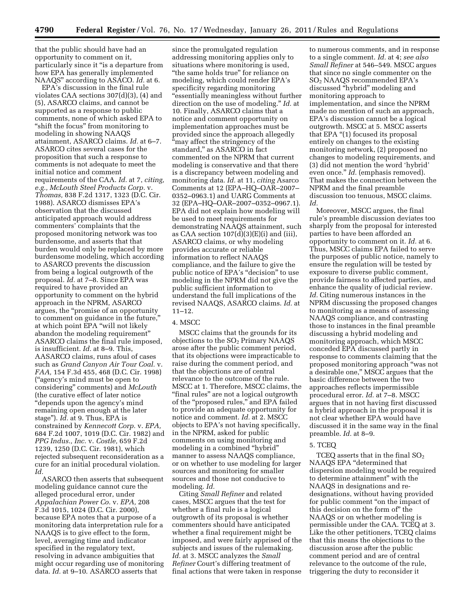that the public should have had an opportunity to comment on it, particularly since it ''is a departure from how EPA has generally implemented NAAQS'' according to ASACO. *Id.* at 6.

EPA's discussion in the final rule violates CAA sections 307(d)(3), (4) and (5), ASARCO claims, and cannot be supported as a response to public comments, none of which asked EPA to "shift the focus" from monitoring to modeling in showing NAAQS attainment, ASARCO claims. *Id.* at 6–7. ASARCO cites several cases for the proposition that such a response to comments is not adequate to meet the initial notice and comment requirements of the CAA. *Id.* at 7, *citing, e.g., McLouth Steel Products Corp.* v. *Thomas,* 838 F.2d 1317, 1323 (D.C. Cir. 1988). ASARCO dismisses EPA's observation that the discussed anticipated approach would address commenters' complaints that the proposed monitoring network was too burdensome, and asserts that that burden would only be replaced by more burdensome modeling, which according to ASARCO prevents the discussion from being a logical outgrowth of the proposal. *Id.* at 7–8. Since EPA was required to have provided an opportunity to comment on the hybrid approach in the NPRM, ASARCO argues, the ''promise of an opportunity to comment on guidance in the future,'' at which point EPA ''will not likely abandon the modeling requirement'' ASARCO claims the final rule imposed, is insufficient. *Id.* at 8–9. This, AASARCO claims, runs afoul of cases such as *Grand Canyon Air Tour Coal.* v. *FAA,* 154 F.3d 455, 468 (D.C. Cir. 1998) (''agency's mind must be open to considering'' comments) and *McLouth*  (the curative effect of later notice ''depends upon the agency's mind remaining open enough at the later stage''). *Id.* at 9. Thus, EPA is constrained by *Kennecott Corp.* v. *EPA,*  684 F.2d 1007, 1019 (D.C. Cir. 1982) and *PPG Indus., Inc.* v. *Costle,* 659 F.2d 1239, 1250 (D.C. Cir. 1981), which rejected subsequent reconsideration as a cure for an initial procedural violation. *Id.* 

ASARCO then asserts that subsequent modeling guidance cannot cure the alleged procedural error, under *Appalachian Power Co.* v. *EPA,* 208 F.3d 1015, 1024 (D.C. Cir. 2000), because EPA notes that a purpose of a monitoring data interpretation rule for a NAAQS is to give effect to the form, level, averaging time and indicator specified in the regulatory text, resolving in advance ambiguities that might occur regarding use of monitoring data. *Id.* at 9–10. ASARCO asserts that

since the promulgated regulation addressing monitoring applies only to situations where monitoring is used, "the same holds true" for reliance on modeling, which could render EPA's specificity regarding monitoring ''essentially meaningless without further direction on the use of modeling.'' *Id.* at 10. Finally, ASARCO claims that a notice and comment opportunity on implementation approaches must be provided since the approach allegedly ''may affect the stringency of the standard,'' as ASARCO in fact commented on the NPRM that current modeling is conservative and that there is a discrepancy between modeling and monitoring data. *Id.* at 11, *citing* Asarco Comments at 12 (EPA–HQ–OAR–2007– 0352–0963.1) and UARG Comments at 32 (EPA–HQ–OAR–2007–0352–0967.1). EPA did not explain how modeling will be used to meet requirements for demonstrating NAAQS attainment, such as CAA section 107(d)(3)(E)(i) and (iii), ASARCO claims, or why modeling provides accurate or reliable information to reflect NAAQS compliance, and the failure to give the public notice of EPA's ''decision'' to use modeling in the NPRM did not give the public sufficient information to understand the full implications of the revised NAAQS, ASARCO claims. *Id.* at 11–12.

# 4. MSCC

MSCC claims that the grounds for its objections to the  $SO<sub>2</sub>$  Primary NAAQS arose after the public comment period, that its objections were impracticable to raise during the comment period, and that the objections are of central relevance to the outcome of the rule. MSCC at 1. Therefore, MSCC claims, the "final rules" are not a logical outgrowth of the "proposed rules," and EPA failed to provide an adequate opportunity for notice and comment. *Id.* at 2. MSCC objects to EPA's not having specifically, in the NPRM, asked for public comments on using monitoring and modeling in a combined ''hybrid'' manner to assess NAAQS compliance, or on whether to use modeling for larger sources and monitoring for smaller sources and those not conducive to modeling. *Id.* 

Citing *Small Refiner* and related cases, MSCC argues that the test for whether a final rule is a logical outgrowth of its proposal is whether commenters should have anticipated whether a final requirement might be imposed, and were fairly apprised of the subjects and issues of the rulemaking. *Id.* at 3. MSCC analyzes the *Small Refiner* Court's differing treatment of final actions that were taken in response

to numerous comments, and in response to a single comment. *Id.* at 4; *see also Small Refiner* at 546–549. MSCC argues that since no single commenter on the SO2 NAAQS recommended EPA's discussed ''hybrid'' modeling and monitoring approach to implementation, and since the NPRM made no mention of such an approach, EPA's discussion cannot be a logical outgrowth. MSCC at 5. MSCC asserts that EPA "(1) focused its proposal entirely on changes to the existing monitoring network, (2) proposed no changes to modeling requirements, and (3) did not mention the word 'hybrid' even once.'' *Id.* (emphasis removed). That makes the connection between the NPRM and the final preamble discussion too tenuous, MSCC claims. *Id.* 

Moreover, MSCC argues, the final rule's preamble discussion deviates too sharply from the proposal for interested parties to have been afforded an opportunity to comment on it. *Id.* at 6. Thus, MSCC claims EPA failed to serve the purposes of public notice, namely to ensure the regulation will be tested by exposure to diverse public comment, provide fairness to affected parties, and enhance the quality of judicial review. *Id.* Citing numerous instances in the NPRM discussing the proposed changes to monitoring as a means of assessing NAAQS compliance, and contrasting those to instances in the final preamble discussing a hybrid modeling and monitoring approach, which MSCC conceded EPA discussed partly in response to comments claiming that the proposed monitoring approach ''was not a desirable one,'' MSCC argues that the basic difference between the two approaches reflects impermissible procedural error. *Id.* at 7–8. MSCC argues that in not having first discussed a hybrid approach in the proposal it is not clear whether EPA would have discussed it in the same way in the final preamble. *Id.* at 8–9.

#### 5. TCEQ

TCEQ asserts that in the final  $SO_2$ NAAQS EPA ''determined that dispersion modeling would be required to determine attainment'' with the NAAQS in designations and redesignations, without having provided for public comment ''on the impact of this decision on the form of'' the NAAQS or on whether modeling is permissible under the CAA. TCEQ at 3. Like the other petitioners, TCEQ claims that this means the objections to the discussion arose after the public comment period and are of central relevance to the outcome of the rule, triggering the duty to reconsider it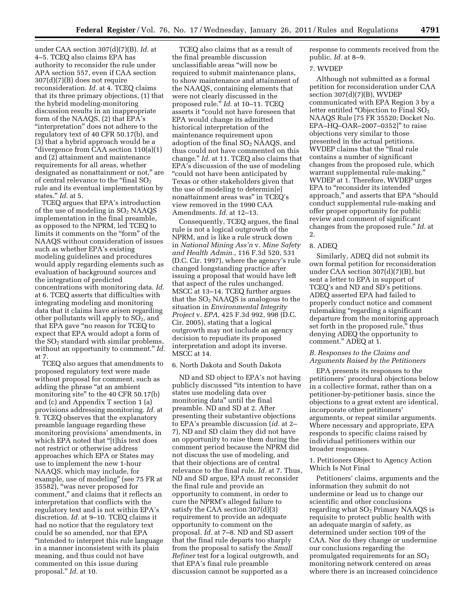under CAA section 307(d)(7)(B). *Id.* at 4–5. TCEQ also claims EPA has authority to reconsider the rule under APA section 557, even if CAA section 307(d)(7)(B) does not require reconsideration. *Id.* at 4. TCEQ claims that its three primary objections, (1) that the hybrid modeling-monitoring discussion results in an inappropriate form of the NAAQS, (2) that EPA's "interpretation" does not adhere to the regulatory text of 40 CFR 50.17(b), and (3) that a hybrid approach would be a ''divergence from CAA section 110(a)(1) and (2) attainment and maintenance requirements for all areas, whether designated as nonattainment or not,'' are of central relevance to the "final  $SO_2$ rule and its eventual implementation by states.'' *Id.* at 5.

TCEQ argues that EPA's introduction of the use of modeling in  $SO<sub>2</sub>$  NAAQS implementation in the final preamble, as opposed to the NPRM, led TCEQ to limits it comments on the "form" of the NAAQS without consideration of issues such as whether EPA's existing modeling guidelines and procedures would apply regarding elements such as evaluation of background sources and the integration of predicted concentrations with monitoring data. *Id.*  at 6. TCEQ asserts that difficulties with integrating modeling and monitoring data that it claims have arisen regarding other pollutants will apply to  $SO<sub>2</sub>$ , and that EPA gave ''no reason for TCEQ to expect that EPA would adopt a form of the  $SO<sub>2</sub>$  standard with similar problems, without an opportunity to comment.'' *Id.*  at 7.

TCEQ also argues that amendments to proposed regulatory text were made without proposal for comment, such as adding the phrase "at an ambient monitoring site'' to the 40 CFR 50.17(b) and (c) and Appendix T section 1 (a) provisions addressing monitoring. *Id.* at 9. TCEQ observes that the explanatory preamble language regarding these monitoring provisions' amendments, in which EPA noted that "[t]his text does not restrict or otherwise address approaches which EPA or States may use to implement the new 1-hour NAAQS, which may include, for example, use of modeling'' (see 75 FR at 35582), ''was never proposed for comment,'' and claims that it reflects an interpretation that conflicts with the regulatory text and is not within EPA's discretion. *Id.* at 9–10. TCEQ claims it had no notice that the regulatory text could be so amended, nor that EPA ''intended to interpret this rule language in a manner inconsistent with its plain meaning, and thus could not have commented on this issue during proposal.'' *Id.* at 10.

TCEQ also claims that as a result of the final preamble discussion unclassifiable areas ''will now be required to submit maintenance plans, to show maintenance and attainment of the NAAQS, containing elements that were not clearly discussed in the proposed rule.'' *Id.* at 10–11. TCEQ asserts it ''could not have foreseen that EPA would change its admitted historical interpretation of the maintenance requirement upon adoption of the final  $SO<sub>2</sub>$  NAAQS, and thus could not have commented on this change.'' *Id.* at 11. TCEQ also claims that EPA's discussion of the use of modeling ''could not have been anticipated by Texas or other stakeholders given that the use of modeling to determin[e] nonattainment areas was'' in TCEQ's view removed in the 1990 CAA Amendments. *Id.* at 12–13.

Consequently, TCEQ argues, the final rule is not a logical outgrowth of the NPRM, and is like a rule struck down in *National Mining Ass'n* v. *Mine Safety and Health Admin.,* 116 F.3d 520, 531 (D.C. Cir. 1997), where the agency's rule changed longstanding practice after issuing a proposal that would have left that aspect of the rules unchanged. MSCC at 13–14. TCEQ further argues that the  $SO<sub>2</sub>$  NAAQS is analogous to the situation in *Environmental Integrity Project* v. *EPA,* 425 F.3d 992, 998 (D.C. Cir. 2005), stating that a logical outgrowth may not include an agency decision to repudiate its proposed interpretation and adopt its inverse. MSCC at 14.

## 6. North Dakota and South Dakota

ND and SD object to EPA's not having publicly discussed ''its intention to have states use modeling data over monitoring data'' until the final preamble. ND and SD at 2. After presenting their substantive objections to EPA's preamble discussion (*id.* at 2– 7), ND and SD claim they did not have an opportunity to raise them during the comment period because the NPRM did not discuss the use of modeling, and that their objections are of central relevance to the final rule. *Id.* at 7. Thus, ND and SD argue, EPA must reconsider the final rule and provide an opportunity to comment, in order to cure the NPRM's alleged failure to satisfy the CAA section 307(d)(3) requirement to provide an adequate opportunity to comment on the proposal. *Id.* at 7–8. ND and SD assert that the final rule departs too sharply from the proposal to satisfy the *Small Refiner* test for a logical outgrowth, and that EPA's final rule preamble discussion cannot be supported as a

response to comments received from the public. *Id.* at 8–9.

#### 7. WVDEP

Although not submitted as a formal petition for reconsideration under CAA section  $307(d)(7)(B)$ , WVDEP communicated with EPA Region 3 by a letter entitled "Objection to Final SO<sub>2</sub> NAAQS Rule [75 FR 35520; Docket No. EPA–HQ–OAR–2007–0352]'' to raise objections very similar to those presented in the actual petitions. WVDEP claims that the ''final rule contains a number of significant changes from the proposed rule, which warrant supplemental rule-making.'' WVDEP at 1. Therefore, WVDEP urges EPA to "reconsider its intended approach,'' and asserts that EPA ''should conduct supplemental rule-making and offer proper opportunity for public review and comment of significant changes from the proposed rule.'' *Id.* at 2.

#### 8. ADEQ

Similarly, ADEQ did not submit its own formal petition for reconsideration under CAA section 307(d)(7)(B), but sent a letter to EPA in support of TCEQ's and ND and SD's petitions. ADEQ asserted EPA had failed to properly conduct notice and comment rulemaking "regarding a significant departure from the monitoring approach set forth in the proposed rule,'' thus denying ADEQ the opportunity to comment.'' ADEQ at 1.

# *B. Responses to the Claims and Arguments Raised by the Petitioners*

EPA presents its responses to the petitioners' procedural objections below in a collective format, rather than on a petitioner-by-petitioner basis, since the objections to a great extent are identical, incorporate other petitioners' arguments, or repeat similar arguments. Where necessary and appropriate, EPA responds to specific claims raised by individual petitioners within our broader responses.

# 1. Petitioners Object to Agency Action Which Is Not Final

Petitioners' claims, arguments and the information they submit do not undermine or lead us to change our scientific and other conclusions regarding what  $SO<sub>2</sub>$  Primary NAAQS is requisite to protect public health with an adequate margin of safety, as determined under section 109 of the CAA. Nor do they change or undermine our conclusions regarding the promulgated requirements for an  $SO<sub>2</sub>$ monitoring network centered on areas where there is an increased coincidence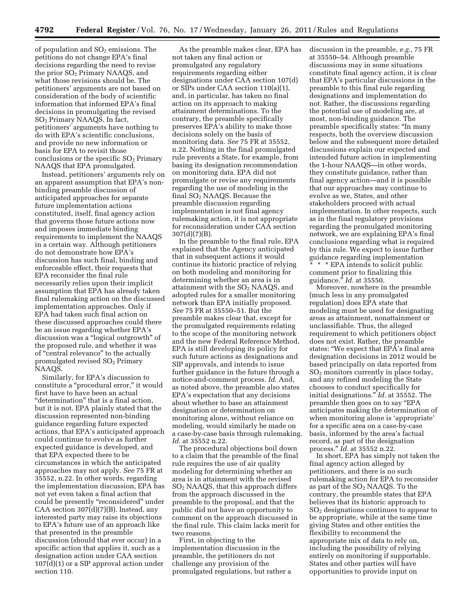of population and  $SO<sub>2</sub>$  emissions. The petitions do not change EPA's final decisions regarding the need to revise the prior SO2 Primary NAAQS, and what those revisions should be. The petitioners' arguments are not based on consideration of the body of scientific information that informed EPA's final decisions in promulgating the revised SO2 Primary NAAQS. In fact, petitioners' arguments have nothing to do with EPA's scientific conclusions, and provide no new information or basis for EPA to revisit those conclusions or the specific  $SO<sub>2</sub>$  Primary NAAQS that EPA promulgated.

Instead, petitioners' arguments rely on an apparent assumption that EPA's nonbinding preamble discussion of anticipated approaches for separate future implementation actions constituted, itself, final agency action that governs those future actions now and imposes immediate binding requirements to implement the NAAQS in a certain way. Although petitioners do not demonstrate how EPA's discussion has such final, binding and enforceable effect, their requests that EPA reconsider the final rule necessarily relies upon their implicit assumption that EPA has already taken final rulemaking action on the discussed implementation approaches. Only if EPA had taken such final action on these discussed approaches could there be an issue regarding whether EPA's discussion was a ''logical outgrowth'' of the proposed rule, and whether it was of ''central relevance'' to the actually promulgated revised SO2 Primary NAAQS.

Similarly, for EPA's discussion to constitute a ''procedural error,'' it would first have to have been an actual "determination" that is a final action, but it is not. EPA plainly stated that the discussion represented non-binding guidance regarding future expected actions, that EPA's anticipated approach could continue to evolve as further expected guidance is developed, and that EPA expected there to be circumstances in which the anticipated approaches may not apply. *See* 75 FR at 35552, n.22. In other words, regarding the implementation discussion, EPA has not yet even taken a final action that could be presently ''reconsidered'' under CAA section 307(d)(7)(B). Instead, any interested party may raise its objections to EPA's future use of an approach like that presented in the preamble discussion (should that ever occur) in a specific action that applies it, such as a designation action under CAA section 107(d)(1) or a SIP approval action under section 110.

As the preamble makes clear, EPA has not taken any final action or promulgated any regulatory requirements regarding either designations under CAA section 107(d) or SIPs under CAA section 110(a)(1), and, in particular, has taken no final action on its approach to making attainment determinations. To the contrary, the preamble specifically preserves EPA's ability to make those decisions solely on the basis of monitoring data. *See* 75 FR at 35552, n.22. Nothing in the final promulgated rule prevents a State, for example, from basing its designation recommendation on monitoring data. EPA did not promulgate or revise any requirements regarding the use of modeling in the final SO<sub>2</sub> NAAQS. Because the preamble discussion regarding implementation is not final agency rulemaking action, it is not appropriate for reconsideration under CAA section 307(d)(7)(B).

In the preamble to the final rule, EPA explained that the Agency anticipated that in subsequent actions it would continue its historic practice of relying on both modeling and monitoring for determining whether an area is in attainment with the  $SO<sub>2</sub>$  NAAQS, and adopted rules for a smaller monitoring network than EPA initially proposed. *See* 75 FR at 35550–51. But the preamble makes clear that, except for the promulgated requirements relating to the scope of the monitoring network and the new Federal Reference Method, EPA is still developing its policy for such future actions as designations and SIP approvals, and intends to issue further guidance in the future through a notice-and-comment process. *Id.* And, as noted above, the preamble also states EPA's expectation that any decisions about whether to base an attainment designation or determination on monitoring alone, without reliance on modeling, would similarly be made on a case-by-case basis through rulemaking. *Id.* at 35552 n.22.

The procedural objections boil down to a claim that the preamble of the final rule requires the use of air quality modeling for determining whether an area is in attainment with the revised SO2 NAAQS, that this approach differs from the approach discussed in the preamble to the proposal, and that the public did not have an opportunity to comment on the approach discussed in the final rule. This claim lacks merit for two reasons.

First, in objecting to the implementation discussion in the preamble, the petitioners do not challenge any provision of the promulgated regulations, but rather a discussion in the preamble, *e.g.,* 75 FR at 35550–54. Although preamble discussions may in some situations constitute final agency action, it is clear that EPA's particular discussions in the preamble to this final rule regarding designations and implementation do not. Rather, the discussions regarding the potential use of modeling are, at most, non-binding guidance. The preamble specifically states: ''In many respects, both the overview discussion below and the subsequent more detailed discussions explain our expected and intended future action in implementing the 1-hour NAAQS—in other words, they constitute guidance, rather than final agency action—and it is possible that our approaches may continue to evolve as we, States, and other stakeholders proceed with actual implementation. In other respects, such as in the final regulatory provisions regarding the promulgated monitoring network, we are explaining EPA's final conclusions regarding what is required by this rule. We expect to issue further guidance regarding implementation \* \* \* EPA intends to solicit public comment prior to finalizing this guidance.'' *Id.* at 35550.

Moreover, nowhere in the preamble (much less in any promulgated regulation) does EPA state that modeling must be used for designating areas as attainment, nonattainment or unclassifiable. Thus, the alleged requirement to which petitioners object does not exist. Rather, the preamble states: ''We expect that EPA's final area designation decisions in 2012 would be based principally on data reported from SO2 monitors currently in place today, and any refined modeling the State chooses to conduct specifically for initial designations.'' *Id.* at 35552. The preamble then goes on to say ''EPA anticipates making the determination of when monitoring alone is 'appropriate' for a specific area on a case-by-case basis, informed by the area's factual record, as part of the designation process.'' *Id.* at 35552 n.22.

In short, EPA has simply not taken the final agency action alleged by petitioners, and there is no such rulemaking action for EPA to reconsider as part of the  $SO<sub>2</sub>$  NAAQS. To the contrary, the preamble states that EPA believes that its historic approach to SO2 designations continues to appear to be appropriate, while at the same time giving States and other entities the flexibility to recommend the appropriate mix of data to rely on, including the possibility of relying entirely on monitoring if supportable. States and other parties will have opportunities to provide input on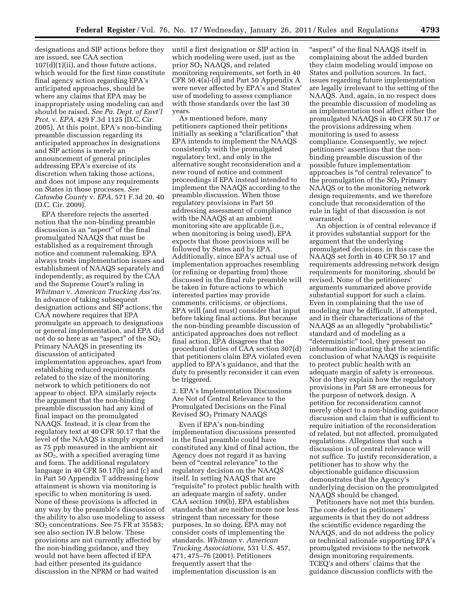designations and SIP actions before they are issued, see CAA section 107(d)(1)(ii), and those future actions, which would for the first time constitute final agency action regarding EPA's anticipated approaches, should be where any claims that EPA may be inappropriately using modeling can and should be raised. *See Pa. Dept. of Envt'l Prot.* v. *EPA,* 429 F.3d 1125 (D.C. Cir. 2005). At this point, EPA's non-binding preamble discussion regarding its anticipated approaches in designations and SIP actions is merely an announcement of general principles addressing EPA's exercise of its discretion when taking those actions, and does not impose any requirements on States in those processes. *See Catawba County* v. *EPA,* 571 F.3d 20, 40 (D.C. Cir. 2009).

EPA therefore rejects the asserted notion that the non-binding preamble discussion is an ''aspect'' of the final promulgated NAAQS that must be established as a requirement through notice and comment rulemaking. EPA always treats implementation issues and establishment of NAAQS separately and independently, as required by the CAA and the Supreme Court's ruling in *Whitman* v. *American Trucking Ass'ns.*  In advance of taking subsequent designation actions and SIP actions, the CAA nowhere requires that EPA promulgate an approach to designations or general implementation, and EPA did not do so here as an "aspect" of the  $\mathrm{SO}_2$ Primary NAAQS in presenting its discussion of anticipated implementation approaches, apart from establishing reduced requirements related to the size of the monitoring network to which petitioners do not appear to object. EPA similarly rejects the argument that the non-binding preamble discussion had any kind of final impact on the promulgated NAAQS. Instead, it is clear from the regulatory text at 40 CFR 50.17 that the level of the NAAQS is simply expressed as 75 ppb measured in the ambient air as  $SO<sub>2</sub>$ , with a specified averaging time and form. The additional regulatory language in 40 CFR 50.17(b) and (c) and in Part 50 Appendix T addressing how attainment is shown via monitoring is specific to when monitoring is used. None of these provisions is affected in any way by the preamble's discussion of the ability to also use modeling to assess SO2 concentrations. See 75 FR at 35583; see also section IV.B below. These provisions are not currently affected by the non-binding guidance, and they would not have been affected if EPA had either presented its guidance discussion in the NPRM or had waited

until a first designation or SIP action in which modeling were used, just as the prior SO2 NAAQS, and related monitoring requirements, set forth in 40 CFR 50.4(a)-(d) and Part 50 Appendix A were never affected by EPA's and States' use of modeling to assess compliance with those standards over the last 30 years.

As mentioned before, many petitioners captioned their petitions initially as seeking a "clarification" that EPA intends to implement the NAAQS consistently with the promulgated regulatory text, and only in the alternative sought reconsideration and a new round of notice and comment proceedings if EPA instead intended to implement the NAAQS according to the preamble discussion. When those regulatory provisions in Part 50 addressing assessment of compliance with the NAAQS at an ambient monitoring site are applicable (i.e., when monitoring is being used), EPA expects that those provisions will be followed by States and by EPA. Additionally, since EPA's actual use of implementation approaches resembling (or refining or departing from) those discussed in the final rule preamble will be taken in future actions to which interested parties may provide comments, criticisms, or objections, EPA will (and must) consider that input before taking final actions. But because the non-binding preamble discussion of anticipated approaches does not reflect final action, EPA disagrees that the procedural duties of CAA section 307(d) that petitioners claim EPA violated even applied to EPA's guidance, and that the duty to presently reconsider it can even be triggered.

2. EPA's Implementation Discussions Are Not of Central Relevance to the Promulgated Decisions on the Final Revised SO2 Primary NAAQS

Even if EPA's non-binding implementation discussions presented in the final preamble could have constituted any kind of final action, the Agency does not regard it as having been of "central relevance" to the regulatory decision on the NAAQS itself. In setting NAAQS that are "requisite" to protect public health with an adequate margin of safety, under CAA section 109(b), EPA establishes standards that are neither more nor less stringent than necessary for these purposes. In so doing, EPA may not consider costs of implementing the standards. *Whitman* v. *American Trucking Associations,* 531 U.S. 457, 471, 475–76 (2001). Petitioners frequently assert that the implementation discussion is an

"aspect" of the final NAAQS itself in complaining about the added burden they claim modeling would impose on States and pollution sources. In fact, issues regarding future implementation are legally irrelevant to the setting of the NAAQS. And, again, in no respect does the preamble discussion of modeling as an implementation tool affect either the promulgated NAAQS in 40 CFR 50.17 or the provisions addressing when monitoring is used to assess compliance. Consequently, we reject petitioners' assertions that the nonbinding preamble discussion of the possible future implementation approaches is ''of central relevance'' to the promulgation of the  $SO<sub>2</sub>$  Primary NAAQS or to the monitoring network design requirements, and we therefore conclude that reconsideration of the rule in light of that discussion is not warranted.

An objection is of central relevance if it provides substantial support for the argument that the underlying promulgated decisions, in this case the NAAQS set forth in 40 CFR 50.17 and requirements addressing network design requirements for monitoring, should be revised. None of the petitioners' arguments summarized above provide substantial support for such a claim. Even in complaining that the use of modeling may be difficult, if attempted, and in their characterizations of the NAAQS as an allegedly ''probabilistic'' standard and of modeling as a "deterministic" tool, they present no information indicating that the scientific conclusion of what NAAQS is requisite to protect public health with an adequate margin of safety is erroneous. Nor do they explain how the regulatory provisions in Part 58 are erroneous for the purpose of network design. A petition for reconsideration cannot merely object to a non-binding guidance discussion and claim that is sufficient to require initiation of the reconsideration of related, but not affected, promulgated regulations. Allegations that such a discussion is of central relevance will not suffice. To justify reconsideration, a petitioner has to show why the objectionable guidance discussion demonstrates that the Agency's underlying decision on the promulgated NAAQS should be changed.

Petitioners have not met this burden. The core defect in petitioners' arguments is that they do not address the scientific evidence regarding the NAAQS, and do not address the policy or technical rationale supporting EPA's promulgated revisions to the network design monitoring requirements. TCEQ's and others' claims that the guidance discussion conflicts with the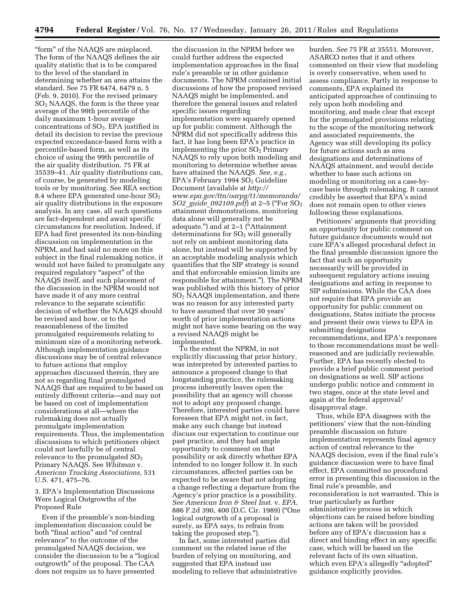"form" of the NAAQS are misplaced. The form of the NAAQS defines the air quality statistic that is to be compared to the level of the standard in determining whether an area attains the standard. See 75 FR 6474, 6479 n. 5 (Feb. 9, 2010). For the revised primary  $SO<sub>2</sub>$  NAAQS, the form is the three year average of the 99th percentile of the daily maximum 1-hour average concentrations of SO2. EPA justified in detail its decision to revise the previous expected exceedance-based form with a percentile-based form, as well as its choice of using the 99th percentile of the air quality distribution. 75 FR at 35539–41. Air quality distributions can, of course, be generated by modeling tools or by monitoring. See REA section 8.4 where EPA generated one-hour  $SO<sub>2</sub>$ air quality distributions in the exposure analysis. In any case, all such questions are fact-dependent and await specific circumstances for resolution. Indeed, if EPA had first presented its non-binding discussion on implementation in the NPRM, and had said no more on this subject in the final rulemaking notice, it would not have failed to promulgate any required regulatory "aspect" of the NAAQS itself, and such placement of the discussion in the NPRM would not have made it of any more central relevance to the separate scientific decision of whether the NAAQS should be revised and how, or to the reasonableness of the limited promulgated requirements relating to minimum size of a monitoring network. Although implementation guidance discussions may be of central relevance to future actions that employ approaches discussed therein, they are not so regarding final promulgated NAAQS that are required to be based on entirely different criteria—and may not be based on cost of implementation considerations at all—where the rulemaking does not actually promulgate implementation requirements. Thus, the implementation discussions to which petitioners object could not lawfully be of central relevance to the promulgated  $SO<sub>2</sub>$ Primary NAAQS. See *Whitman* v. *American Trucking Associations,* 531 U.S. 471, 475–76.

# 3. EPA's Implementation Discussions Were Logical Outgrowths of the Proposed Rule

Even if the preamble's non-binding implementation discussion could be both ''final action'' and ''of central relevance'' to the outcome of the promulgated NAAQS decision, we consider the discussion to be a ''logical outgrowth'' of the proposal. The CAA does not require us to have presented

the discussion in the NPRM before we could further address the expected implementation approaches in the final rule's preamble or in other guidance documents. The NPRM contained initial discussions of how the proposed revised NAAQS might be implemented, and therefore the general issues and related specific issues regarding implementation were squarely opened up for public comment. Although the NPRM did not specifically address this fact, it has long been EPA's practice in implementing the prior  $SO<sub>2</sub>$  Primary NAAQS to rely upon both modeling and monitoring to determine whether areas have attained the NAAQS. *See, e.g.,*   $EPA's$  February 1994  $SO<sub>2</sub>$  Guideline Document (available at *[http://](http://www.epa.gov/ttn/oarpg/t1/memoranda/SO2_guide_092109.pdf)  [www.epa.gov/ttn/oarpg/t1/memoranda/](http://www.epa.gov/ttn/oarpg/t1/memoranda/SO2_guide_092109.pdf) SO2*\_*guide*\_*[092109.pdf](http://www.epa.gov/ttn/oarpg/t1/memoranda/SO2_guide_092109.pdf)*) at 2–5 (''For SO2 attainment demonstrations, monitoring data alone will generally not be adequate.'') and at 2–1 (''Attainment determinations for  $SO<sub>2</sub>$  will generally not rely on ambient monitoring data alone, but instead will be supported by an acceptable modeling analysis which quantifies that the SIP strategy is sound and that enforceable emission limits are responsible for attainment.''). The NPRM was published with this history of prior SO2 NAAQS implementation, and there was no reason for any interested party to have assumed that over 30 years' worth of prior implementation actions might not have some bearing on the way a revised NAAQS might be implemented.

To the extent the NPRM, in not explicitly discussing that prior history, was interpreted by interested parties to announce a proposed change to that longstanding practice, the rulemaking process inherently leaves open the possibility that an agency will choose not to adopt any proposed change. Therefore, interested parties could have foreseen that EPA might not, in fact, make any such change but instead discuss our expectation to continue our past practice, and they had ample opportunity to comment on that possibility or ask directly whether EPA intended to no longer follow it. In such circumstances, affected parties can be expected to be aware that not adopting a change reflecting a departure from the Agency's prior practice is a possibility. *See American Iron & Steel Inst.* v. *EPA,*  886 F.2d 390, 400 (D.C. Cir. 1989) (''One logical outgrowth of a proposal is surely, as EPA says, to refrain from taking the proposed step.'').

In fact, some interested parties did comment on the related issue of the burden of relying on monitoring, and suggested that EPA instead use modeling to relieve that administrative

burden. *See* 75 FR at 35551. Moreover, ASARCO notes that it and others commented on their view that modeling is overly conservative, when used to assess compliance. Partly in response to comments, EPA explained its anticipated approaches of continuing to rely upon both modeling and monitoring, and made clear that except for the promulgated provisions relating to the scope of the monitoring network and associated requirements, the Agency was still developing its policy for future actions such as area designations and determinations of NAAQS attainment, and would decide whether to base such actions on modeling or monitoring on a case-bycase basis through rulemaking. It cannot credibly be asserted that EPA's mind does not remain open to other views following these explanations.

Petitioners' arguments that providing an opportunity for public comment on future guidance documents would not cure EPA's alleged procedural defect in the final preamble discussion ignore the fact that such an opportunity necessarily will be provided in subsequent regulatory actions issuing designations and acting in response to SIP submissions. While the CAA does not require that EPA provide an opportunity for public comment on designations, States initiate the process and present their own views to EPA in submitting designations recommendations, and EPA's responses to those recommendations must be wellreasoned and are judicially reviewable. Further, EPA has recently elected to provide a brief public comment period on designations as well. SIP actions undergo public notice and comment in two stages, once at the state level and again at the federal approval/ disapproval stage.

Thus, while EPA disagrees with the petitioners' view that the non-binding preamble discussion on future implementation represents final agency action of central relevance to the NAAQS decision, even if the final rule's guidance discussion were to have final effect, EPA committed no procedural error in presenting this discussion in the final rule's preamble, and reconsideration is not warranted. This is true particularly as further administrative process in which objections can be raised before binding actions are taken will be provided before any of EPA's discussion has a direct and binding effect in any specific case, which will be based on the relevant facts of its own situation, which even EPA's allegedly "adopted" guidance explicitly provides.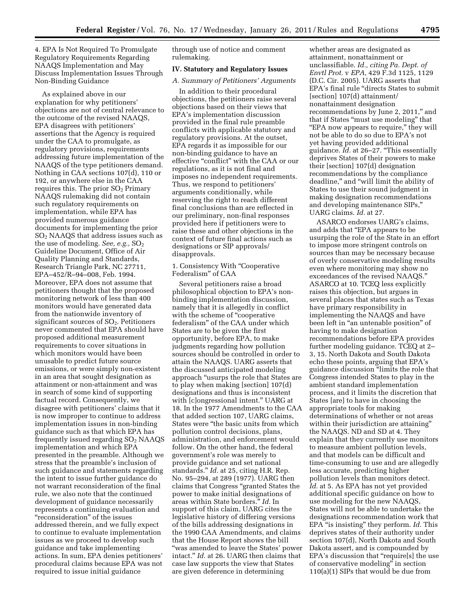4. EPA Is Not Required To Promulgate Regulatory Requirements Regarding NAAQS Implementation and May Discuss Implementation Issues Through Non-Binding Guidance

As explained above in our explanation for why petitioners' objections are not of central relevance to the outcome of the revised NAAQS, EPA disagrees with petitioners' assertions that the Agency is required under the CAA to promulgate, as regulatory provisions, requirements addressing future implementation of the NAAQS of the type petitioners demand. Nothing in CAA sections 107(d), 110 or 192, or anywhere else in the CAA requires this. The prior  $SO<sub>2</sub>$  Primary NAAQS rulemaking did not contain such regulatory requirements on implementation, while EPA has provided numerous guidance documents for implementing the prior SO2 NAAQS that address issues such as the use of modeling. *See, e.g.*, SO<sub>2</sub> Guideline Document, Office of Air Quality Planning and Standards, Research Triangle Park, NC 27711, EPA–452/R–94–008, Feb. 1994. Moreover, EPA does not assume that petitioners thought that the proposed monitoring network of less than 400 monitors would have generated data from the nationwide inventory of significant sources of  $SO<sub>2</sub>$ . Petitioners never commented that EPA should have proposed additional measurement requirements to cover situations in which monitors would have been unusable to predict future source emissions, or were simply non-existent in an area that sought designation as attainment or non-attainment and was in search of some kind of supporting factual record. Consequently, we disagree with petitioners' claims that it is now improper to continue to address implementation issues in non-binding guidance such as that which EPA has frequently issued regarding  $SO<sub>2</sub>$  NAAQS implementation and which EPA presented in the preamble. Although we stress that the preamble's inclusion of such guidance and statements regarding the intent to issue further guidance do not warrant reconsideration of the final rule, we also note that the continued development of guidance necessarily represents a continuing evaluation and "reconsideration" of the issues addressed therein, and we fully expect to continue to evaluate implementation issues as we proceed to develop such guidance and take implementing actions. In sum, EPA denies petitioners' procedural claims because EPA was not required to issue initial guidance

through use of notice and comment rulemaking.

# **IV. Statutory and Regulatory Issues**

#### *A. Summary of Petitioners' Arguments*

In addition to their procedural objections, the petitioners raise several objections based on their views that EPA's implementation discussion provided in the final rule preamble conflicts with applicable statutory and regulatory provisions. At the outset, EPA regards it as impossible for our non-binding guidance to have an effective "conflict" with the CAA or our regulations, as it is not final and imposes no independent requirements. Thus, we respond to petitioners' arguments conditionally, while reserving the right to reach different final conclusions than are reflected in our preliminary, non-final responses provided here if petitioners were to raise these and other objections in the context of future final actions such as designations or SIP approvals/ disapprovals.

## 1. Consistency With ''Cooperative Federalism'' of CAA

Several petitioners raise a broad philosophical objection to EPA's nonbinding implementation discussion, namely that it is allegedly in conflict with the scheme of "cooperative federalism'' of the CAA under which States are to be given the first opportunity, before EPA, to make judgments regarding how pollution sources should be controlled in order to attain the NAAQS. UARG asserts that the discussed anticipated modeling approach ''usurps the role that States are to play when making [section] 107(d) designations and thus is inconsistent with [c]ongressional intent.'' UARG at 18. In the 1977 Amendments to the CAA that added section 107, UARG claims, States were ''the basic units from which pollution control decisions, plans, administration, and enforcement would follow. On the other hand, the federal government's role was merely to provide guidance and set national standards.'' *Id.* at 25, citing H.R. Rep. No. 95–294, at 289 (1977). UARG then claims that Congress ''granted States the power to make initial designations of areas within State borders.'' *Id.* In support of this claim, UARG cites the legislative history of differing versions of the bills addressing designations in the 1990 CAA Amendments, and claims that the House Report shows the bill ''was amended to leave the States' power intact.'' *Id.* at 26. UARG then claims that case law supports the view that States are given deference in determining

whether areas are designated as attainment, nonattainment or unclassifiable. *Id., citing Pa. Dept. of Envtl Prot.* v *EPA,* 429 F.3d 1125, 1129 (D.C. Cir. 2005). UARG asserts that EPA's final rule "directs States to submit [section] 107(d) attainment/ nonattainment designation recommendations by June 2, 2011,'' and that if States ''must use modeling'' that "EPA now appears to require," they will not be able to do so due to EPA's not yet having provided additional guidance. *Id.* at 26–27. ''This essentially deprives States of their powers to make their [section] 107(d) designation recommendations by the compliance deadline,'' and ''will limit the ability of States to use their sound judgment in making designation recommendations and developing maintenance SIPs,'' UARG claims. *Id.* at 27.

ASARCO endorses UARG's claims, and adds that ''EPA appears to be usurping the role of the State in an effort to impose more stringent controls on sources than may be necessary because of overly conservative modeling results even where monitoring may show no exceedances of the revised NAAQS.'' ASARCO at 10. TCEQ less explicitly raises this objection, but argues in several places that states such as Texas have primary responsibility in implementing the NAAQS and have been left in ''an untenable position'' of having to make designation recommendations before EPA provides further modeling guidance. TCEQ at 2– 3, 15. North Dakota and South Dakota echo these points, arguing that EPA's guidance discussion ''limits the role that Congress intended States to play in the ambient standard implementation process, and it limits the discretion that States [are] to have in choosing the appropriate tools for making determinations of whether or not areas within their jurisdiction are attaining'' the NAAQS. ND and SD at 4. They explain that they currently use monitors to measure ambient pollution levels, and that models can be difficult and time-consuming to use and are allegedly less accurate, predicting higher pollution levels than monitors detect. *Id.* at 5. As EPA has not yet provided additional specific guidance on how to use modeling for the new NAAQS, States will not be able to undertake the designations recommendation work that EPA ''is insisting'' they perform. *Id.* This deprives states of their authority under section 107(d), North Dakota and South Dakota assert, and is compounded by EPA's discussion that "require[s] the use of conservative modeling'' in section 110(a)(1) SIPs that would be due from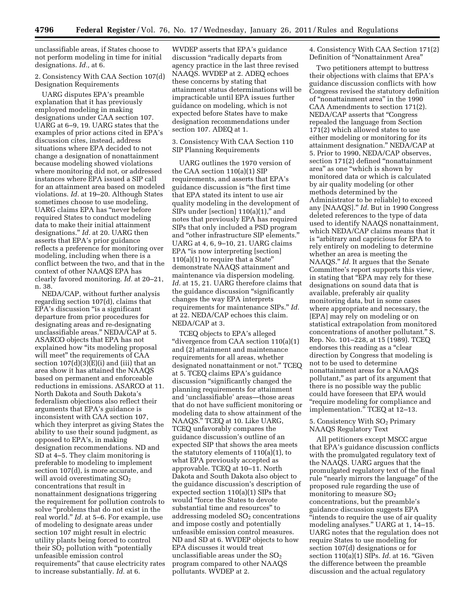unclassifiable areas, if States choose to not perform modeling in time for initial designations. *Id.,* at 6.

# 2. Consistency With CAA Section 107(d) Designation Requirements

UARG disputes EPA's preamble explanation that it has previously employed modeling in making designations under CAA section 107. UARG at 6–9, 19. UARG states that the examples of prior actions cited in EPA's discussion cites, instead, address situations where EPA decided to not change a designation of nonattainment because modeling showed violations where monitoring did not, or addressed instances where EPA issued a SIP call for an attainment area based on modeled violations. *Id.* at 19–20. Although States sometimes choose to use modeling, UARG claims EPA has ''never before required States to conduct modeling data to make their initial attainment designations.'' *Id.* at 20. UARG then asserts that EPA's prior guidance reflects a preference for monitoring over modeling, including when there is a conflict between the two, and that in the context of other NAAQS EPA has clearly favored monitoring. *Id.* at 20–21, n. 38.

NEDA/CAP, without further analysis regarding section 107(d), claims that EPA's discussion "is a significant" departure from prior procedures for designating areas and re-designating unclassifiable areas.'' NEDA/CAP at 5. ASARCO objects that EPA has not explained how ''its modeling proposal will meet'' the requirements of CAA section  $107(d)(3)(E)(i)$  and (iii) that an area show it has attained the NAAQS based on permanent and enforceable reductions in emissions. ASARCO at 11. North Dakota and South Dakota's federalism objections also reflect their arguments that EPA's guidance is inconsistent with CAA section 107, which they interpret as giving States the ability to use their sound judgment, as opposed to EPA's, in making designation recommendations. ND and SD at 4–5. They claim monitoring is preferable to modeling to implement section 107(d), is more accurate, and will avoid overestimating SO<sub>2</sub> concentrations that result in nonattainment designations triggering the requirement for pollution controls to solve ''problems that do not exist in the real world.'' *Id.* at 5–6. For example, use of modeling to designate areas under section 107 might result in electric utility plants being forced to control their  $SO<sub>2</sub>$  pollution with "potentially" unfeasible emission control requirements'' that cause electricity rates to increase substantially. *Id.* at 6.

WVDEP asserts that EPA's guidance discussion ''radically departs from agency practice in the last three revised NAAQS. WVDEP at 2. ADEQ echoes these concerns by stating that attainment status determinations will be impracticable until EPA issues further guidance on modeling, which is not expected before States have to make designation recommendations under section 107. ADEQ at 1.

#### 3. Consistency With CAA Section 110 SIP Planning Requirements

UARG outlines the 1970 version of the CAA section 110(a)(1) SIP requirements, and asserts that EPA's guidance discussion is ''the first time that EPA stated its intent to use air quality modeling in the development of SIPs under [section]  $110(a)(1)$ ," and notes that previously EPA has required SIPs that only included a PSD program and ''other infrastructure SIP elements.'' UARG at 4, 6, 9–10, 21. UARG claims EPA "is now interpreting [section]  $110(a)(1)$  to require that a State" demonstrate NAAQS attainment and maintenance via dispersion modeling. *Id.* at 15, 21. UARG therefore claims that the guidance discussion ''significantly changes the way EPA interprets requirements for maintenance SIPs.'' *Id.*  at 22. NEDA/CAP echoes this claim. NEDA/CAP at 3.

TCEQ objects to EPA's alleged ''divergence from CAA section 110(a)(1) and (2) attainment and maintenance requirements for all areas, whether designated nonattainment or not.'' TCEQ at 5. TCEQ claims EPA's guidance discussion ''significantly changed the planning requirements for attainment and 'unclassifiable' areas—those areas that do not have sufficient monitoring or modeling data to show attainment of the NAAQS.'' TCEQ at 10. Like UARG, TCEQ unfavorably compares the guidance discussion's outline of an expected SIP that shows the area meets the statutory elements of 110(a)(1), to what EPA previously accepted as approvable. TCEQ at 10–11. North Dakota and South Dakota also object to the guidance discussion's description of expected section 110(a)(1) SIPs that would ''force the States to devote substantial time and resources'' to addressing modeled  $SO<sub>2</sub>$  concentrations and impose costly and potentially unfeasible emission control measures. ND and SD at 6. WVDEP objects to how EPA discusses it would treat unclassifiable areas under the  $SO<sub>2</sub>$ program compared to other NAAQS pollutants. WVDEP at 2.

# 4. Consistency With CAA Section 171(2) Definition of ''Nonattainment Area''

Two petitioners attempt to buttress their objections with claims that EPA's guidance discussion conflicts with how Congress revised the statutory definition of ''nonattainment area'' in the 1990 CAA Amendments to section 171(2). NEDA/CAP asserts that "Congress repealed the language from Section 171(2) which allowed states to use either modeling or monitoring for its attainment designation.'' NEDA/CAP at 5. Prior to 1990, NEDA/CAP observes, section 171(2) defined ''nonattainment area'' as one ''which is shown by monitored data or which is calculated by air quality modeling (or other methods determined by the Administrator to be reliable) to exceed any [NAAQS].'' *Id.* But in 1990 Congress deleted references to the type of data used to identify NAAQS nonattainment, which NEDA/CAP claims means that it is ''arbitrary and capricious for EPA to rely entirely on modeling to determine whether an area is meeting the NAAQS.'' *Id.* It argues that the Senate Committee's report supports this view, in stating that "EPA may rely for these designations on sound data that is available, preferably air quality monitoring data, but in some cases where appropriate and necessary, the [EPA] may rely on modeling or on statistical extrapolation from monitored concentrations of another pollutant.'' S. Rep. No. 101–228, at 15 (1989). TCEQ endorses this reading as a ''clear direction by Congress that modeling is not to be used to determine nonattainment areas for a NAAQS pollutant,'' as part of its argument that there is no possible way the public could have foreseen that EPA would ''require modeling for compliance and implementation.'' TCEQ at 12–13.

# 5. Consistency With SO2 Primary NAAQS Regulatory Text

All petitioners except MSCC argue that EPA's guidance discussion conflicts with the promulgated regulatory text of the NAAQS. UARG argues that the promulgated regulatory text of the final rule "nearly mirrors the language" of the proposed rule regarding the use of monitoring to measure  $SO<sub>2</sub>$ concentrations, but the preamble's guidance discussion suggests EPA ''intends to require the use of air quality modeling analyses.'' UARG at 1, 14–15. UARG notes that the regulation does not require States to use modeling for section 107(d) designations or for section 110(a)(1) SIPs. *Id.* at 16. ''Given the difference between the preamble discussion and the actual regulatory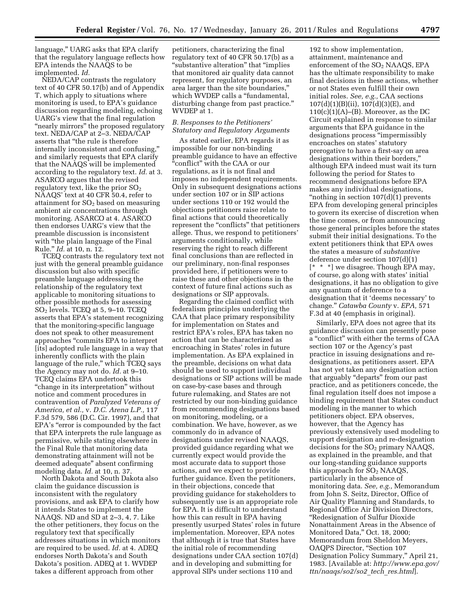language,'' UARG asks that EPA clarify that the regulatory language reflects how EPA intends the NAAQS to be implemented. *Id.* 

NEDA/CAP contrasts the regulatory text of 40 CFR 50.17(b) and of Appendix T, which apply to situations where monitoring is used, to EPA's guidance discussion regarding modeling, echoing UARG's view that the final regulation "nearly mirrors" the proposed regulatory text. NEDA/CAP at 2–3. NEDA/CAP asserts that ''the rule is therefore internally inconsistent and confusing,'' and similarly requests that EPA clarify that the NAAQS will be implemented according to the regulatory text. *Id.* at 3. ASARCO argues that the revised regulatory text, like the prior  $SO<sub>2</sub>$ NAAQS' text at 40 CFR 50.4, refer to attainment for  $SO<sub>2</sub>$  based on measuring ambient air concentrations through monitoring. ASARCO at 4. ASARCO then endorses UARG's view that the preamble discussion is inconsistent with "the plain language of the Final Rule.'' *Id.* at 10, n. 12.

TCEQ contrasts the regulatory text not just with the general preamble guidance discussion but also with specific preamble language addressing the relationship of the regulatory text applicable to monitoring situations to other possible methods for assessing SO2 levels. TCEQ at 5, 9–10. TCEQ asserts that EPA's statement recognizing that the monitoring-specific language does not speak to other measurement approaches ''commits EPA to interpret [its] adopted rule language in a way that inherently conflicts with the plain language of the rule," which TCEQ says the Agency may not do. *Id.* at 9–10. TCEQ claims EPA undertook this "change in its interpretation" without notice and comment procedures in contravention of *Paralyzed Veterans of America, et al.,* v. *D.C. Arena L.P.,* 117 F.3d 579, 586 (D.C. Cir. 1997), and that EPA's ''error is compounded by the fact that EPA interprets the rule language as permissive, while stating elsewhere in the Final Rule that monitoring data demonstrating attainment will not be deemed adequate'' absent confirming modeling data. *Id.* at 10, n. 37.

North Dakota and South Dakota also claim the guidance discussion is inconsistent with the regulatory provisions, and ask EPA to clarify how it intends States to implement the NAAQS. ND and SD at 2–3, 4, 7. Like the other petitioners, they focus on the regulatory text that specifically addresses situations in which monitors are required to be used. *Id.* at 4. ADEQ endorses North Dakota's and South Dakota's position. ADEQ at 1. WVDEP takes a different approach from other

petitioners, characterizing the final regulatory text of 40 CFR 50.17(b) as a ''substantive alteration'' that ''implies that monitored air quality data cannot represent, for regulatory purposes, an area larger than the site boundaries,'' which WVDEP calls a "fundamental, disturbing change from past practice.'' WVDEP at 1.

# *B. Responses to the Petitioners' Statutory and Regulatory Arguments*

As stated earlier, EPA regards it as impossible for our non-binding preamble guidance to have an effective ''conflict'' with the CAA or our regulations, as it is not final and imposes no independent requirements. Only in subsequent designations actions under section 107 or in SIP actions under sections 110 or 192 would the objections petitioners raise relate to final actions that could theoretically represent the ''conflicts'' that petitioners allege. Thus, we respond to petitioners' arguments conditionally, while reserving the right to reach different final conclusions than are reflected in our preliminary, non-final responses provided here, if petitioners were to raise these and other objections in the context of future final actions such as designations or SIP approvals.

Regarding the claimed conflict with federalism principles underlying the CAA that place primary responsibility for implementation on States and restrict EPA's roles, EPA has taken no action that can be characterized as encroaching in States' roles in future implementation. As EPA explained in the preamble, decisions on what data should be used to support individual designations or SIP actions will be made on case-by-case bases and through future rulemaking, and States are not restricted by our non-binding guidance from recommending designations based on monitoring, modeling, or a combination. We have, however, as we commonly do in advance of designations under revised NAAQS, provided guidance regarding what we currently expect would provide the most accurate data to support those actions, and we expect to provide further guidance. Even the petitioners, in their objections, concede that providing guidance for stakeholders to subsequently use is an appropriate role for EPA. It is difficult to understand how this can result in EPA having presently usurped States' roles in future implementation. Moreover, EPA notes that although it is true that States have the initial role of recommending designations under CAA section 107(d) and in developing and submitting for approval SIPs under sections 110 and

192 to show implementation, attainment, maintenance and enforcement of the  $SO<sub>2</sub>$  NAAQS, EPA has the ultimate responsibility to make final decisions in these actions, whether or not States even fulfill their own initial roles. *See, e.g.,* CAA sections  $107(d)(1)(B)(ii)$ ,  $107(d)(3)(E)$ , and  $110(c)(1)(A)$ –(B). Moreover, as the DC Circuit explained in response to similar arguments that EPA guidance in the designations process ''impermissibly encroaches on states' statutory prerogative to have a first-say on area designations within their borders,'' although EPA indeed must wait its turn following the period for States to recommend designations before EPA makes any individual designations, ''nothing in section 107(d)(1) prevents EPA from developing general principles to govern its exercise of discretion when the time comes, or from announcing those general principles before the states submit their initial designations. To the extent petitioners think that EPA owes the states a measure of *substantive*  deference under section 107(d)(1) [\* \* \*] we disagree. Though EPA may, of course, go along with states' initial designations, it has no obligation to give any quantum of deference to a designation that it 'deems necessary' to change.'' *Catawba County* v. *EPA,* 571 F.3d at 40 (emphasis in original).

Similarly, EPA does not agree that its guidance discussion can presently pose a ''conflict'' with either the terms of CAA section 107 or the Agency's past practice in issuing designations and redesignations, as petitioners assert. EPA has not yet taken any designation action that arguably "departs" from our past practice, and as petitioners concede, the final regulation itself does not impose a binding requirement that States conduct modeling in the manner to which petitioners object. EPA observes, however, that the Agency has previously extensively used modeling to support designation and re-designation decisions for the SO<sub>2</sub> primary NAAQS, as explained in the preamble, and that our long-standing guidance supports this approach for  $SO<sub>2</sub>$  NAAQS, particularly in the absence of monitoring data. *See, e.g.,* Memorandum from John S. Seitz, Director, Office of Air Quality Planning and Standards, to Regional Office Air Division Directors, ''Redesignation of Sulfur Dioxide Nonattainment Areas in the Absence of Monitored Data,'' Oct. 18, 2000; Memorandum from Sheldon Meyers, OAQPS Director, ''Section 107 Designation Policy Summary,'' April 21, 1983. [Available at: *[http://www.epa.gov/](http://www.epa.gov/ttn/naaqs/so2/so2_tech_res.html) [ttn/naaqs/so2/so2](http://www.epa.gov/ttn/naaqs/so2/so2_tech_res.html)*\_*tech*\_*res.html*].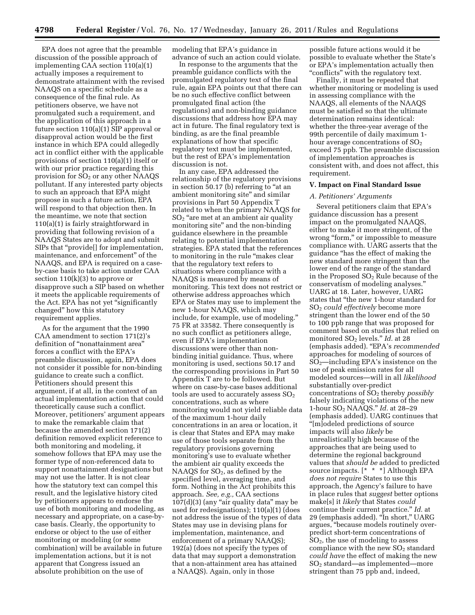EPA does not agree that the preamble discussion of the possible approach of implementing CAA section 110(a)(1) actually imposes a requirement to demonstrate attainment with the revised NAAQS on a specific schedule as a consequence of the final rule. As petitioners observe, we have not promulgated such a requirement, and the application of this approach in a future section 110(a)(1) SIP approval or disapproval action would be the first instance in which EPA could allegedly act in conflict either with the applicable provisions of section 110(a)(1) itself or with our prior practice regarding this provision for  $SO<sub>2</sub>$  or any other NAAQS pollutant. If any interested party objects to such an approach that EPA might propose in such a future action, EPA will respond to that objection then. In the meantime, we note that section 110(a)(1) is fairly straightforward in providing that following revision of a NAAQS States are to adopt and submit SIPs that ''provide[] for implementation, maintenance, and enforcement'' of the NAAQS, and EPA is required on a caseby-case basis to take action under CAA section  $110(k)(3)$  to approve or disapprove such a SIP based on whether it meets the applicable requirements of the Act. EPA has not yet "significantly changed'' how this statutory requirement applies.

As for the argument that the 1990 CAA amendment to section 171(2)'s definition of ''nonattainment area'' forces a conflict with the EPA's preamble discussion, again, EPA does not consider it possible for non-binding guidance to create such a conflict. Petitioners should present this argument, if at all, in the context of an actual implementation action that could theoretically cause such a conflict. Moreover, petitioners' argument appears to make the remarkable claim that because the amended section 171(2) definition removed explicit reference to both monitoring and modeling, it somehow follows that EPA may use the former type of non-referenced data to support nonattainment designations but may not use the latter. It is not clear how the statutory text can compel this result, and the legislative history cited by petitioners appears to endorse the use of both monitoring and modeling, as necessary and appropriate, on a case-bycase basis. Clearly, the opportunity to endorse or object to the use of either monitoring or modeling (or some combination) will be available in future implementation actions, but it is not apparent that Congress issued an absolute prohibition on the use of

modeling that EPA's guidance in advance of such an action could violate.

In response to the arguments that the preamble guidance conflicts with the promulgated regulatory text of the final rule, again EPA points out that there can be no such effective conflict between promulgated final action (the regulations) and non-binding guidance discussions that address how EPA may act in future. The final regulatory text is binding, as are the final preamble explanations of how that specific regulatory text must be implemented, but the rest of EPA's implementation discussion is not.

In any case, EPA addressed the relationship of the regulatory provisions in section 50.17 (b) referring to "at an ambient monitoring site'' and similar provisions in Part 50 Appendix T related to when the primary NAAQS for SO2 ''are met at an ambient air quality monitoring site'' and the non-binding guidance elsewhere in the preamble relating to potential implementation strategies. EPA stated that the references to monitoring in the rule "makes clear that the regulatory text refers to situations where compliance with a NAAQS is measured by means of monitoring. This text does not restrict or otherwise address approaches which EPA or States may use to implement the new 1-hour NAAQS, which may include, for example, use of modeling.'' 75 FR at 33582. There consequently is no such conflict as petitioners allege, even if EPA's implementation discussions were other than nonbinding initial guidance. Thus, where monitoring is used, sections 50.17 and the corresponding provisions in Part 50 Appendix T are to be followed. But where on case-by-case bases additional tools are used to accurately assess  $SO<sub>2</sub>$ concentrations, such as where monitoring would not yield reliable data of the maximum 1-hour daily concentrations in an area or location, it is clear that States and EPA may make use of those tools separate from the regulatory provisions governing monitoring's use to evaluate whether the ambient air quality exceeds the NAAQS for  $SO<sub>2</sub>$ , as defined by the specified level, averaging time, and form. Nothing in the Act prohibits this approach. *See, e.g.,* CAA sections  $107(d)(3)$  (any "air quality data" may be used for redesignations); 110(a)(1) (does not address the issue of the types of data States may use in devising plans for implementation, maintenance, and enforcement of a primary NAAQS); 192(a) (does not specify the types of data that may support a demonstration that a non-attainment area has attained a NAAQS). Again, only in those

possible future actions would it be possible to evaluate whether the State's or EPA's implementation actually then "conflicts" with the regulatory text.

Finally, it must be repeated that whether monitoring or modeling is used in assessing compliance with the NAAQS, all elements of the NAAQS must be satisfied so that the ultimate determination remains identical: whether the three-year average of the 99th percentile of daily maximum 1 hour average concentrations of  $SO<sub>2</sub>$ exceed 75 ppb. The preamble discussion of implementation approaches is consistent with, and does not affect, this requirement.

#### **V. Impact on Final Standard Issue**

#### *A. Petitioners' Arguments*

Several petitioners claim that EPA's guidance discussion has a present impact on the promulgated NAAQS, either to make it more stringent, of the wrong "form," or impossible to measure compliance with. UARG asserts that the guidance ''has the effect of making the new standard more stringent than the lower end of the range of the standard in the Proposed  $SO<sub>2</sub>$  Rule because of the conservatism of modeling analyses.'' UARG at 18. Later, however, UARG states that ''the new 1-hour standard for SO2 *could effectively* become more stringent than the lower end of the 50 to 100 ppb range that was proposed for comment based on studies that relied on monitored SO2 levels.'' *Id.* at 28 (emphasis added). ''EPA's *recommended*  approaches for modeling of sources of  $SO<sub>2</sub>$ —including EPA's insistence on the use of peak emission rates for all modeled sources—will in all *likelihood*  substantially over-predict concentrations of SO2 thereby *possibly*  falsely indicating violations of the new 1-hour SO2 NAAQS.'' *Id.* at 28–29 (emphasis added). UARG continues that ''[m]odeled predictions of source impacts will also *likely* be unrealistically high because of the approaches that are being used to determine the regional background values that *should be* added to predicted source impacts. [\* \* \*] Although EPA *does not require* States to use this approach, the Agency's failure to have in place rules that *suggest* better options make[s] it *likely* that States *could*  continue their current practice.'' *Id.* at 29 (emphasis added). ''In short,'' UARG argues, ''because models routinely overpredict short-term concentrations of SO2, the use of modeling to assess compliance with the new  $SO<sub>2</sub>$  standard *could have* the effect of making the new SO2 standard—as implemented—more stringent than 75 ppb and, indeed,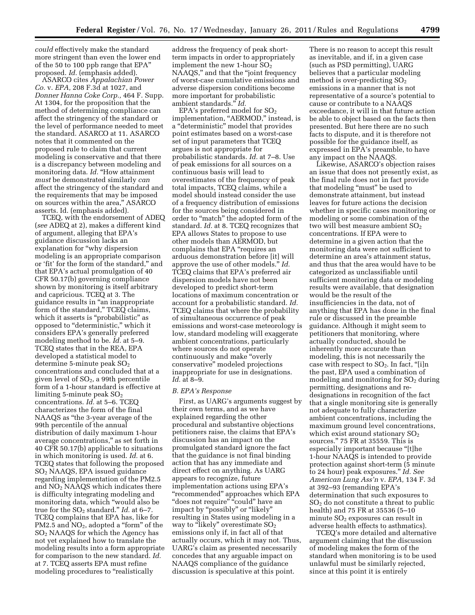*could* effectively make the standard more stringent than even the lower end of the 50 to 100 ppb range that EPA'' proposed. *Id.* (emphasis added).

ASARCO cites *Appalachian Power Co.* v. *EPA,* 208 F.3d at 1027, and *Donner Hanna Coke Corp.,* 464 F. Supp. At 1304, for the proposition that the method of determining compliance can affect the stringency of the standard or the level of performance needed to meet the standard. ASARCO at 11. ASARCO notes that it commented on the proposed rule to claim that current modeling is conservative and that there is a discrepancy between modeling and monitoring data. *Id.* "How attainment *must* be demonstrated similarly *can*  affect the stringency of the standard and the requirements that may be imposed on sources within the area,'' ASARCO asserts. Id. (emphasis added).

TCEQ, with the endorsement of ADEQ (*see* ADEQ at 2), makes a different kind of argument, alleging that EPA's guidance discussion lacks an explanation for ''why dispersion modeling is an appropriate comparison or 'fit' for the form of the standard,'' and that EPA's actual promulgation of 40 CFR 50.17(b) governing compliance shown by monitoring is itself arbitrary and capricious. TCEQ at 3. The guidance results in ''an inappropriate form of the standard," TCEQ claims, which it asserts is "probabilistic" as opposed to ''deterministic,'' which it considers EPA's generally preferred modeling method to be. *Id.* at 5–9. TCEQ states that in the REA, EPA developed a statistical model to determine 5-minute peak  $SO<sub>2</sub>$ concentrations and concluded that at a given level of  $SO<sub>2</sub>$ , a 99th percentile form of a 1-hour standard is effective at limiting 5-minute peak  $SO<sub>2</sub>$ concentrations. *Id.* at 5–6. TCEQ characterizes the form of the final NAAQS as ''the 3-year average of the 99th percentile of the annual distribution of daily maximum 1-hour average concentrations,'' as set forth in 40 CFR 50.17(b) applicable to situations in which monitoring is used. *Id.* at 6. TCEQ states that following the proposed SO2 NAAQS, EPA issued guidance regarding implementation of the PM2.5 and NO2 NAAQS which indicates there is difficulty integrating modeling and monitoring data, which ''would also be true for the SO<sub>2</sub> standard." *Id.* at 6–7. TCEQ complains that EPA has, like for  $PM2.5$  and  $NO<sub>2</sub>$ , adopted a "form" of the SO2 NAAQS for which the Agency has not yet explained how to translate the modeling results into a form appropriate for comparison to the new standard. *Id.*  at 7. TCEQ asserts EPA must refine modeling procedures to "realistically

address the frequency of peak shortterm impacts in order to appropriately implement the new 1-hour  $SO<sub>2</sub>$ NAAQS," and that the "joint frequency of worst-case cumulative emissions and adverse dispersion conditions become more important for probabilistic ambient standards.'' *Id.* 

EPA's preferred model for  $SO<sub>2</sub>$ implementation, "AERMOD," instead, is a ''deterministic'' model that provides point estimates based on a worst-case set of input parameters that TCEQ argues is not appropriate for probabilistic standards. *Id.* at 7–8. Use of peak emissions for all sources on a continuous basis will lead to overestimates of the frequency of peak total impacts, TCEQ claims, while a model should instead consider the use of a frequency distribution of emissions for the sources being considered in order to "match" the adopted form of the standard. *Id.* at 8. TCEQ recognizes that EPA allows States to propose to use other models than AERMOD, but complains that EPA "requires an arduous demonstration before [it] will approve the use of other models.'' *Id.*  TCEQ claims that EPA's preferred air dispersion models have not been developed to predict short-term locations of maximum concentration or account for a probabilistic standard. *Id.*  TCEQ claims that where the probability of simultaneous occurrence of peak emissions and worst-case meteorology is low, standard modeling will exaggerate ambient concentrations, particularly where sources do not operate continuously and make ''overly conservative'' modeled projections inappropriate for use in designations. *Id.* at 8–9.

#### *B. EPA's Response*

First, as UARG's arguments suggest by their own terms, and as we have explained regarding the other procedural and substantive objections petitioners raise, the claims that EPA's discussion has an impact on the promulgated standard ignore the fact that the guidance is not final binding action that has any immediate and direct effect on anything. As UARG appears to recognize, future implementation actions using EPA's ''recommended'' approaches which EPA "does not require" "could" have an impact by "possibly" or "likely" resulting in States using modeling in a way to "likely" overestimate  $SO_2$ emissions only if, in fact all of that actually occurs, which it may not. Thus, UARG's claim as presented necessarily concedes that any arguable impact on NAAQS compliance of the guidance discussion is speculative at this point.

There is no reason to accept this result as inevitable, and if, in a given case (such as PSD permitting), UARG believes that a particular modeling method is over-predicting  $SO_2$ emissions in a manner that is not representative of a source's potential to cause or contribute to a NAAQS exceedance, it will in that future action be able to object based on the facts then presented. But here there are no such facts to dispute, and it is therefore not possible for the guidance itself, as expressed in EPA's preamble, to have any impact on the NAAQS.

Likewise, ASARCO's objection raises an issue that does not presently exist, as the final rule does not in fact provide that modeling ''must'' be used to demonstrate attainment, but instead leaves for future actions the decision whether in specific cases monitoring or modeling or some combination of the two will best measure ambient  $SO<sub>2</sub>$ concentrations. If EPA were to determine in a given action that the monitoring data were not sufficient to determine an area's attainment status, and thus that the area would have to be categorized as unclassifiable until sufficient monitoring data or modeling results were available, that designation would be the result of the insufficiencies in the data, not of anything that EPA has done in the final rule or discussed in the preamble guidance. Although it might seem to petitioners that monitoring, where actually conducted, should be inherently more accurate than modeling, this is not necessarily the case with respect to  $SO_2$ . In fact, "[i]n the past, EPA used a combination of modeling and monitoring for  $SO<sub>2</sub>$  during permitting, designations and redesignations in recognition of the fact that a single monitoring site is generally not adequate to fully characterize ambient concentrations, including the maximum ground level concentrations, which exist around stationary  $SO<sub>2</sub>$ sources.'' 75 FR at 35559. This is especially important because "[t]he 1-hour NAAQS is intended to provide protection against short-term (5 minute to 24 hour) peak exposures.'' *Id. See American Lung Ass'n* v. *EPA,* 134 F. 3d at 392–93 (remanding EPA's determination that such exposures to  $SO<sub>2</sub>$  do not constitute a threat to public health) and 75 FR at 35536 (5–10 minute  $SO<sub>2</sub>$  exposures can result in adverse health effects to asthmatics).

TCEQ's more detailed and alternative argument claiming that the discussion of modeling makes the form of the standard when monitoring is to be used unlawful must be similarly rejected, since at this point it is entirely